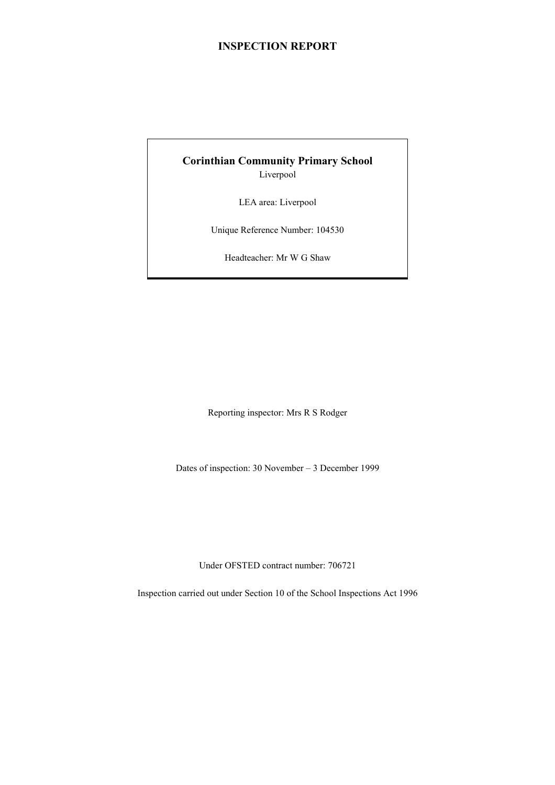# **INSPECTION REPORT**

# **Corinthian Community Primary School** Liverpool

LEA area: Liverpool

Unique Reference Number: 104530

Headteacher: Mr W G Shaw

Reporting inspector: Mrs R S Rodger

Dates of inspection: 30 November – 3 December 1999

Under OFSTED contract number: 706721

Inspection carried out under Section 10 of the School Inspections Act 1996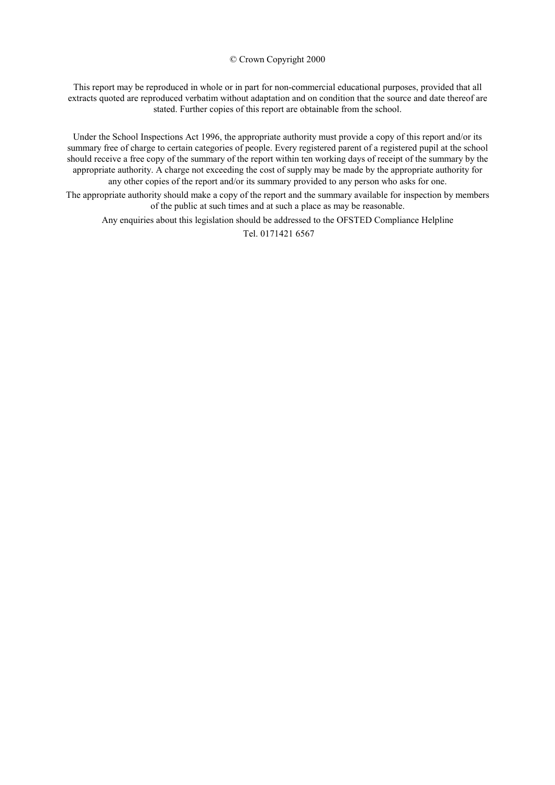#### © Crown Copyright 2000

This report may be reproduced in whole or in part for non-commercial educational purposes, provided that all extracts quoted are reproduced verbatim without adaptation and on condition that the source and date thereof are stated. Further copies of this report are obtainable from the school.

Under the School Inspections Act 1996, the appropriate authority must provide a copy of this report and/or its summary free of charge to certain categories of people. Every registered parent of a registered pupil at the school should receive a free copy of the summary of the report within ten working days of receipt of the summary by the appropriate authority. A charge not exceeding the cost of supply may be made by the appropriate authority for any other copies of the report and/or its summary provided to any person who asks for one.

The appropriate authority should make a copy of the report and the summary available for inspection by members of the public at such times and at such a place as may be reasonable.

Any enquiries about this legislation should be addressed to the OFSTED Compliance Helpline

Tel. 0171421 6567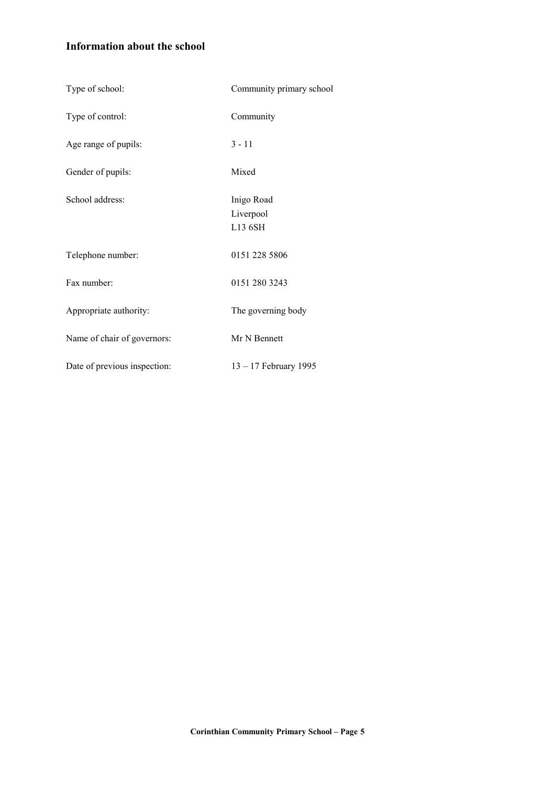# **Information about the school**

| Type of school:              | Community primary school           |
|------------------------------|------------------------------------|
| Type of control:             | Community                          |
| Age range of pupils:         | $3 - 11$                           |
| Gender of pupils:            | Mixed                              |
| School address:              | Inigo Road<br>Liverpool<br>L13 6SH |
| Telephone number:            | 0151 228 5806                      |
| Fax number:                  | 0151 280 3243                      |
| Appropriate authority:       | The governing body                 |
| Name of chair of governors:  | Mr N Bennett                       |
| Date of previous inspection: | 13 - 17 February 1995              |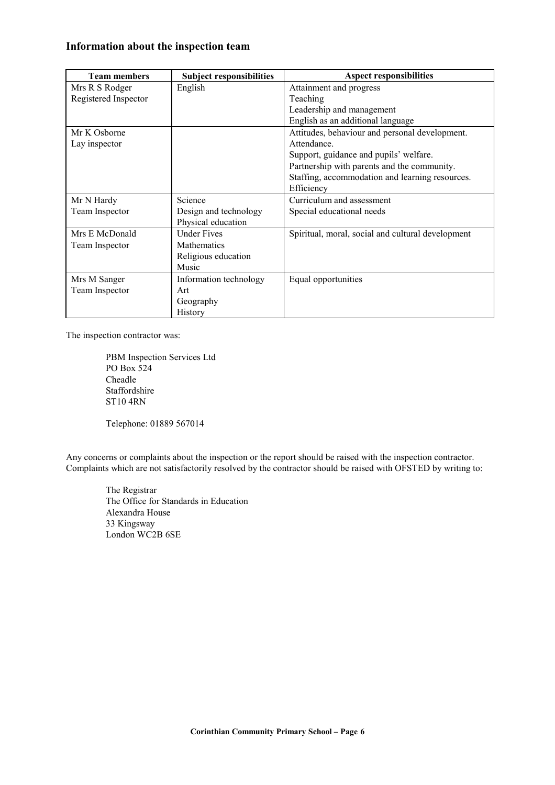# **Information about the inspection team**

| <b>Team members</b>  | <b>Subject responsibilities</b> | <b>Aspect responsibilities</b>                    |
|----------------------|---------------------------------|---------------------------------------------------|
| Mrs R S Rodger       | English                         | Attainment and progress                           |
| Registered Inspector |                                 | Teaching                                          |
|                      |                                 | Leadership and management                         |
|                      |                                 | English as an additional language                 |
| Mr K Osborne         |                                 | Attitudes, behaviour and personal development.    |
| Lay inspector        |                                 | Attendance.                                       |
|                      |                                 | Support, guidance and pupils' welfare.            |
|                      |                                 | Partnership with parents and the community.       |
|                      |                                 | Staffing, accommodation and learning resources.   |
|                      |                                 | Efficiency                                        |
| Mr N Hardy           | Science                         | Curriculum and assessment                         |
| Team Inspector       | Design and technology           | Special educational needs                         |
|                      | Physical education              |                                                   |
| Mrs E McDonald       | <b>Under Fives</b>              | Spiritual, moral, social and cultural development |
| Team Inspector       | <b>Mathematics</b>              |                                                   |
|                      | Religious education             |                                                   |
|                      | Music                           |                                                   |
| Mrs M Sanger         | Information technology          | Equal opportunities                               |
| Team Inspector       | Art                             |                                                   |
|                      | Geography                       |                                                   |
|                      | History                         |                                                   |

The inspection contractor was:

PBM Inspection Services Ltd PO Box 524 Cheadle Staffordshire ST10 4RN

Telephone: 01889 567014

Any concerns or complaints about the inspection or the report should be raised with the inspection contractor. Complaints which are not satisfactorily resolved by the contractor should be raised with OFSTED by writing to:

The Registrar The Office for Standards in Education Alexandra House 33 Kingsway London WC2B 6SE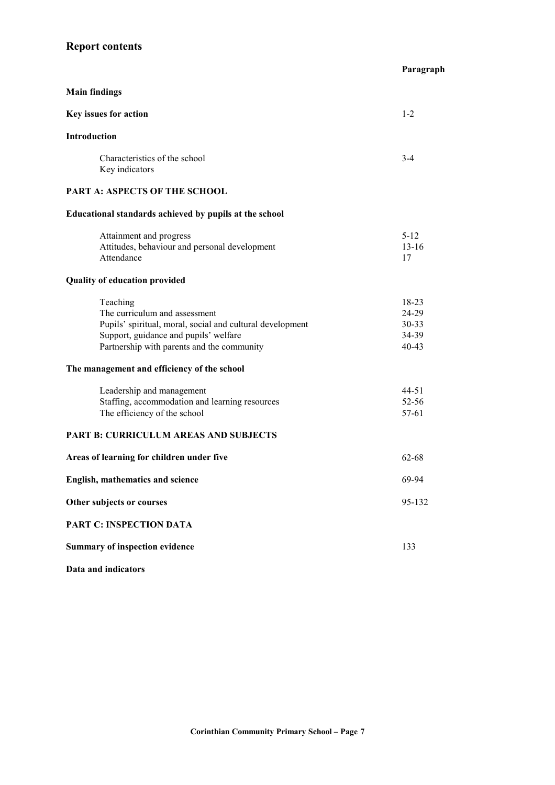# **Report contents**

|                                                                                                                                                                                               | Paragraph                                 |
|-----------------------------------------------------------------------------------------------------------------------------------------------------------------------------------------------|-------------------------------------------|
| <b>Main findings</b>                                                                                                                                                                          |                                           |
| Key issues for action                                                                                                                                                                         | $1-2$                                     |
| Introduction                                                                                                                                                                                  |                                           |
| Characteristics of the school<br>Key indicators                                                                                                                                               | $3 - 4$                                   |
| PART A: ASPECTS OF THE SCHOOL                                                                                                                                                                 |                                           |
| Educational standards achieved by pupils at the school                                                                                                                                        |                                           |
| Attainment and progress<br>Attitudes, behaviour and personal development<br>Attendance                                                                                                        | $5 - 12$<br>$13 - 16$<br>17               |
| <b>Quality of education provided</b>                                                                                                                                                          |                                           |
| Teaching<br>The curriculum and assessment<br>Pupils' spiritual, moral, social and cultural development<br>Support, guidance and pupils' welfare<br>Partnership with parents and the community | 18-23<br>24-29<br>30-33<br>34-39<br>40-43 |
| The management and efficiency of the school                                                                                                                                                   |                                           |
| Leadership and management<br>Staffing, accommodation and learning resources<br>The efficiency of the school                                                                                   | 44-51<br>52-56<br>57-61                   |
| <b>PART B: CURRICULUM AREAS AND SUBJECTS</b>                                                                                                                                                  |                                           |
| Areas of learning for children under five                                                                                                                                                     | 62-68                                     |
| <b>English, mathematics and science</b>                                                                                                                                                       | 69-94                                     |
| Other subjects or courses                                                                                                                                                                     | 95-132                                    |
| PART C: INSPECTION DATA                                                                                                                                                                       |                                           |
| <b>Summary of inspection evidence</b>                                                                                                                                                         | 133                                       |
| Data and indicators                                                                                                                                                                           |                                           |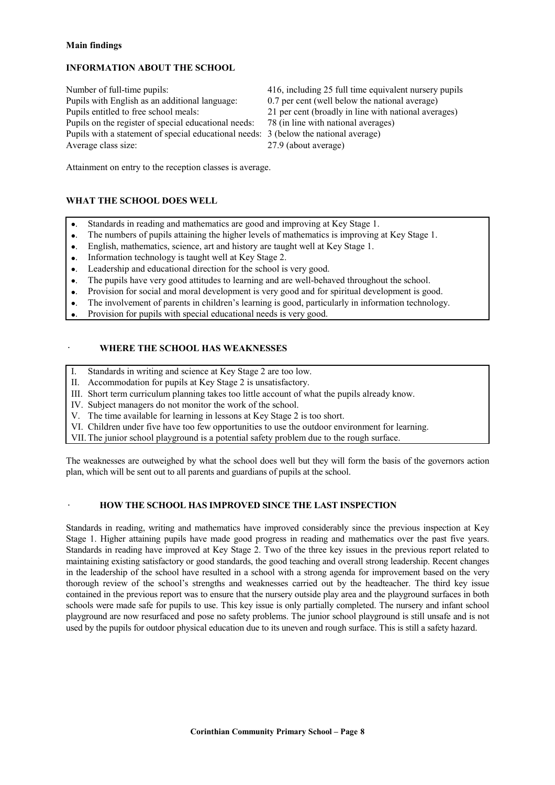#### **Main findings**

## **INFORMATION ABOUT THE SCHOOL**

Number of full-time pupils: 416, including 25 full time equivalent nursery pupils Pupils with English as an additional language: 0.7 per cent (well below the national average) Pupils entitled to free school meals: 21 per cent (broadly in line with national averages) Pupils on the register of special educational needs: 78 (in line with national averages) Pupils with a statement of special educational needs: 3 (below the national average) Average class size: 27.9 (about average)

- 
- 

Attainment on entry to the reception classes is average.

# **WHAT THE SCHOOL DOES WELL**

- •. Standards in reading and mathematics are good and improving at Key Stage 1.
- •. The numbers of pupils attaining the higher levels of mathematics is improving at Key Stage 1.
- •. English, mathematics, science, art and history are taught well at Key Stage 1.
- •. Information technology is taught well at Key Stage 2.
- Leadership and educational direction for the school is very good.
- •. The pupils have very good attitudes to learning and are well-behaved throughout the school.
- •. Provision for social and moral development is very good and for spiritual development is good.
- The involvement of parents in children's learning is good, particularly in information technology.
- •. Provision for pupils with special educational needs is very good.

# · **WHERE THE SCHOOL HAS WEAKNESSES**

- I. Standards in writing and science at Key Stage 2 are too low.
- II. Accommodation for pupils at Key Stage 2 is unsatisfactory.
- III. Short term curriculum planning takes too little account of what the pupils already know.
- IV. Subject managers do not monitor the work of the school.
- V. The time available for learning in lessons at Key Stage 2 is too short.
- VI. Children under five have too few opportunities to use the outdoor environment for learning.
- VII. The junior school playground is a potential safety problem due to the rough surface.

The weaknesses are outweighed by what the school does well but they will form the basis of the governors action plan, which will be sent out to all parents and guardians of pupils at the school.

# · **HOW THE SCHOOL HAS IMPROVED SINCE THE LAST INSPECTION**

Standards in reading, writing and mathematics have improved considerably since the previous inspection at Key Stage 1. Higher attaining pupils have made good progress in reading and mathematics over the past five years. Standards in reading have improved at Key Stage 2. Two of the three key issues in the previous report related to maintaining existing satisfactory or good standards, the good teaching and overall strong leadership. Recent changes in the leadership of the school have resulted in a school with a strong agenda for improvement based on the very thorough review of the school's strengths and weaknesses carried out by the headteacher. The third key issue contained in the previous report was to ensure that the nursery outside play area and the playground surfaces in both schools were made safe for pupils to use. This key issue is only partially completed. The nursery and infant school playground are now resurfaced and pose no safety problems. The junior school playground is still unsafe and is not used by the pupils for outdoor physical education due to its uneven and rough surface. This is still a safety hazard.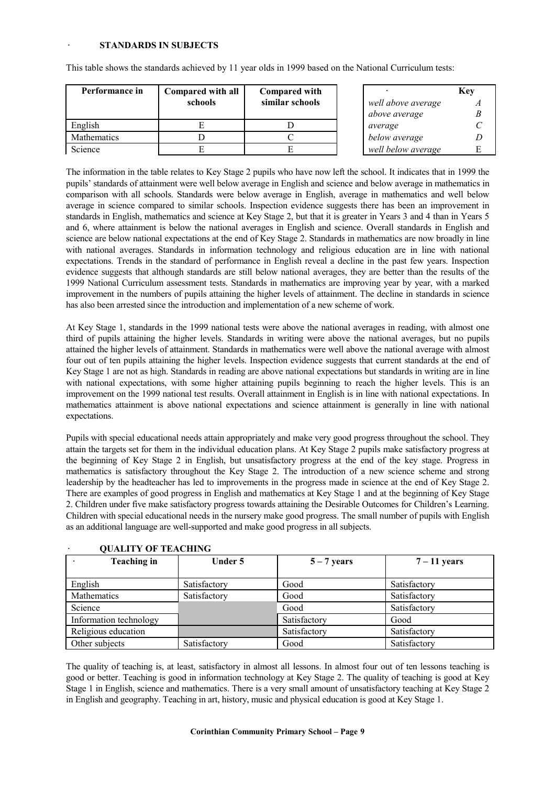| Performance in | Compared with all<br>schools | <b>Compared with</b><br>similar schools | well above average | Key |
|----------------|------------------------------|-----------------------------------------|--------------------|-----|
|                |                              |                                         | above average      |     |
| English        |                              |                                         | average            |     |
| Mathematics    |                              |                                         | below average      |     |
| Science        |                              |                                         | well below average |     |

This table shows the standards achieved by 11 year olds in 1999 based on the National Curriculum tests:

The information in the table relates to Key Stage 2 pupils who have now left the school. It indicates that in 1999 the pupils' standards of attainment were well below average in English and science and below average in mathematics in comparison with all schools. Standards were below average in English, average in mathematics and well below average in science compared to similar schools. Inspection evidence suggests there has been an improvement in standards in English, mathematics and science at Key Stage 2, but that it is greater in Years 3 and 4 than in Years 5 and 6, where attainment is below the national averages in English and science. Overall standards in English and science are below national expectations at the end of Key Stage 2. Standards in mathematics are now broadly in line with national averages. Standards in information technology and religious education are in line with national expectations. Trends in the standard of performance in English reveal a decline in the past few years. Inspection evidence suggests that although standards are still below national averages, they are better than the results of the 1999 National Curriculum assessment tests. Standards in mathematics are improving year by year, with a marked improvement in the numbers of pupils attaining the higher levels of attainment. The decline in standards in science has also been arrested since the introduction and implementation of a new scheme of work.

At Key Stage 1, standards in the 1999 national tests were above the national averages in reading, with almost one third of pupils attaining the higher levels. Standards in writing were above the national averages, but no pupils attained the higher levels of attainment. Standards in mathematics were well above the national average with almost four out of ten pupils attaining the higher levels. Inspection evidence suggests that current standards at the end of Key Stage 1 are not as high. Standards in reading are above national expectations but standards in writing are in line with national expectations, with some higher attaining pupils beginning to reach the higher levels. This is an improvement on the 1999 national test results. Overall attainment in English is in line with national expectations. In mathematics attainment is above national expectations and science attainment is generally in line with national expectations.

Pupils with special educational needs attain appropriately and make very good progress throughout the school. They attain the targets set for them in the individual education plans. At Key Stage 2 pupils make satisfactory progress at the beginning of Key Stage 2 in English, but unsatisfactory progress at the end of the key stage. Progress in mathematics is satisfactory throughout the Key Stage 2. The introduction of a new science scheme and strong leadership by the headteacher has led to improvements in the progress made in science at the end of Key Stage 2. There are examples of good progress in English and mathematics at Key Stage 1 and at the beginning of Key Stage 2. Children under five make satisfactory progress towards attaining the Desirable Outcomes for Children's Learning. Children with special educational needs in the nursery make good progress. The small number of pupils with English as an additional language are well-supported and make good progress in all subjects.

| VUALITT UF TEAUIHNU    |              |               |                |  |  |  |
|------------------------|--------------|---------------|----------------|--|--|--|
| <b>Teaching in</b>     | Under 5      | $5 - 7$ years | $7 - 11$ years |  |  |  |
|                        |              |               |                |  |  |  |
| English                | Satisfactory | Good          | Satisfactory   |  |  |  |
| Mathematics            | Satisfactory | Good          | Satisfactory   |  |  |  |
| Science                |              | Good          | Satisfactory   |  |  |  |
| Information technology |              | Satisfactory  | Good           |  |  |  |
| Religious education    |              | Satisfactory  | Satisfactory   |  |  |  |
| Other subjects         | Satisfactory | Good          | Satisfactory   |  |  |  |

| <b>QUALITY OF TEACHING</b> |
|----------------------------|
|                            |

The quality of teaching is, at least, satisfactory in almost all lessons. In almost four out of ten lessons teaching is good or better. Teaching is good in information technology at Key Stage 2. The quality of teaching is good at Key Stage 1 in English, science and mathematics. There is a very small amount of unsatisfactory teaching at Key Stage 2 in English and geography. Teaching in art, history, music and physical education is good at Key Stage 1.

#### **Corinthian Community Primary School – Page 9**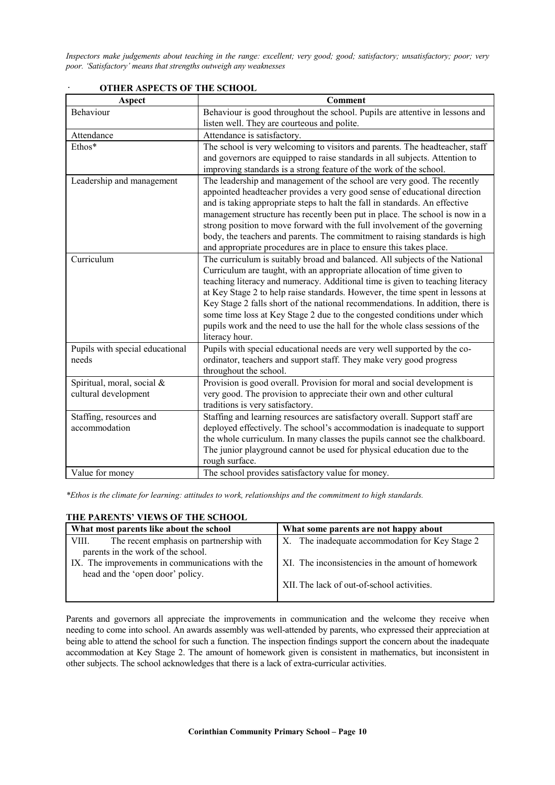*Inspectors make judgements about teaching in the range: excellent; very good; good; satisfactory; unsatisfactory; poor; very poor. 'Satisfactory' means that strengths outweigh any weaknesses*

| Aspect                          | <b>Comment</b>                                                                                                                                        |
|---------------------------------|-------------------------------------------------------------------------------------------------------------------------------------------------------|
| Behaviour                       | Behaviour is good throughout the school. Pupils are attentive in lessons and                                                                          |
|                                 | listen well. They are courteous and polite.                                                                                                           |
| Attendance                      | Attendance is satisfactory.                                                                                                                           |
| Ethos*                          | The school is very welcoming to visitors and parents. The headteacher, staff                                                                          |
|                                 | and governors are equipped to raise standards in all subjects. Attention to                                                                           |
|                                 | improving standards is a strong feature of the work of the school.                                                                                    |
| Leadership and management       | The leadership and management of the school are very good. The recently                                                                               |
|                                 | appointed headteacher provides a very good sense of educational direction                                                                             |
|                                 | and is taking appropriate steps to halt the fall in standards. An effective                                                                           |
|                                 | management structure has recently been put in place. The school is now in a                                                                           |
|                                 | strong position to move forward with the full involvement of the governing                                                                            |
|                                 | body, the teachers and parents. The commitment to raising standards is high                                                                           |
|                                 | and appropriate procedures are in place to ensure this takes place.                                                                                   |
| Curriculum                      | The curriculum is suitably broad and balanced. All subjects of the National<br>Curriculum are taught, with an appropriate allocation of time given to |
|                                 | teaching literacy and numeracy. Additional time is given to teaching literacy                                                                         |
|                                 | at Key Stage 2 to help raise standards. However, the time spent in lessons at                                                                         |
|                                 | Key Stage 2 falls short of the national recommendations. In addition, there is                                                                        |
|                                 | some time loss at Key Stage 2 due to the congested conditions under which                                                                             |
|                                 | pupils work and the need to use the hall for the whole class sessions of the                                                                          |
|                                 | literacy hour.                                                                                                                                        |
| Pupils with special educational | Pupils with special educational needs are very well supported by the co-                                                                              |
| needs                           | ordinator, teachers and support staff. They make very good progress                                                                                   |
|                                 | throughout the school.                                                                                                                                |
| Spiritual, moral, social &      | Provision is good overall. Provision for moral and social development is                                                                              |
| cultural development            | very good. The provision to appreciate their own and other cultural                                                                                   |
|                                 | traditions is very satisfactory.                                                                                                                      |
| Staffing, resources and         | Staffing and learning resources are satisfactory overall. Support staff are                                                                           |
| accommodation                   | deployed effectively. The school's accommodation is inadequate to support                                                                             |
|                                 | the whole curriculum. In many classes the pupils cannot see the chalkboard.                                                                           |
|                                 | The junior playground cannot be used for physical education due to the                                                                                |
|                                 | rough surface.                                                                                                                                        |
| Value for money                 | The school provides satisfactory value for money.                                                                                                     |

#### · **OTHER ASPECTS OF THE SCHOOL**

*\*Ethos is the climate for learning: attitudes to work, relationships and the commitment to high standards.*

# **THE PARENTS' VIEWS OF THE SCHOOL**

| What most parents like about the school         |                                         | What some parents are not happy about                   |
|-------------------------------------------------|-----------------------------------------|---------------------------------------------------------|
| VIII.                                           | The recent emphasis on partnership with | The inadequate accommodation for Key Stage 2<br>$X_{-}$ |
|                                                 | parents in the work of the school.      |                                                         |
| IX. The improvements in communications with the |                                         | XI. The inconsistencies in the amount of homework       |
|                                                 | head and the 'open door' policy.        |                                                         |
|                                                 |                                         | XII. The lack of out-of-school activities.              |
|                                                 |                                         |                                                         |

Parents and governors all appreciate the improvements in communication and the welcome they receive when needing to come into school. An awards assembly was well-attended by parents, who expressed their appreciation at being able to attend the school for such a function. The inspection findings support the concern about the inadequate accommodation at Key Stage 2. The amount of homework given is consistent in mathematics, but inconsistent in other subjects. The school acknowledges that there is a lack of extra-curricular activities.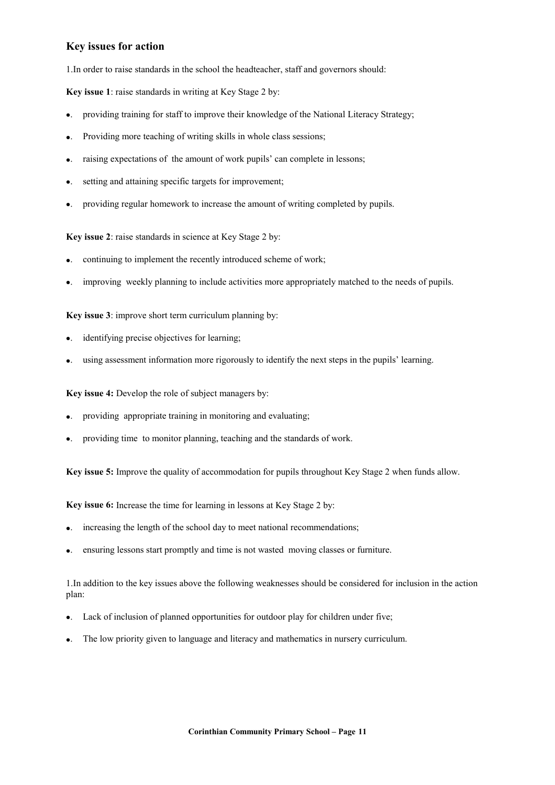# **Key issues for action**

1.In order to raise standards in the school the headteacher, staff and governors should:

**Key issue 1**: raise standards in writing at Key Stage 2 by:

- •. providing training for staff to improve their knowledge of the National Literacy Strategy;
- •. Providing more teaching of writing skills in whole class sessions;
- raising expectations of the amount of work pupils' can complete in lessons;
- setting and attaining specific targets for improvement;
- •. providing regular homework to increase the amount of writing completed by pupils.

**Key issue 2**: raise standards in science at Key Stage 2 by:

- continuing to implement the recently introduced scheme of work;
- •. improving weekly planning to include activities more appropriately matched to the needs of pupils.

**Key issue 3**: improve short term curriculum planning by:

- identifying precise objectives for learning;
- •. using assessment information more rigorously to identify the next steps in the pupils' learning.

**Key issue 4:** Develop the role of subject managers by:

- •. providing appropriate training in monitoring and evaluating;
- •. providing time to monitor planning, teaching and the standards of work.

**Key issue 5:** Improve the quality of accommodation for pupils throughout Key Stage 2 when funds allow.

**Key issue 6:** Increase the time for learning in lessons at Key Stage 2 by:

- increasing the length of the school day to meet national recommendations;
- •. ensuring lessons start promptly and time is not wasted moving classes or furniture.

1.In addition to the key issues above the following weaknesses should be considered for inclusion in the action plan:

- •. Lack of inclusion of planned opportunities for outdoor play for children under five;
- •. The low priority given to language and literacy and mathematics in nursery curriculum.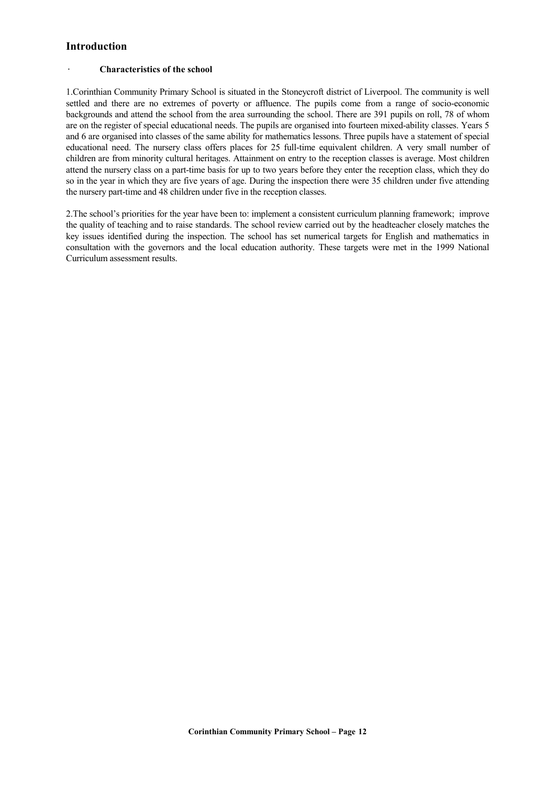# **Introduction**

#### · **Characteristics of the school**

1.Corinthian Community Primary School is situated in the Stoneycroft district of Liverpool. The community is well settled and there are no extremes of poverty or affluence. The pupils come from a range of socio-economic backgrounds and attend the school from the area surrounding the school. There are 391 pupils on roll, 78 of whom are on the register of special educational needs. The pupils are organised into fourteen mixed-ability classes. Years 5 and 6 are organised into classes of the same ability for mathematics lessons. Three pupils have a statement of special educational need. The nursery class offers places for 25 full-time equivalent children. A very small number of children are from minority cultural heritages. Attainment on entry to the reception classes is average. Most children attend the nursery class on a part-time basis for up to two years before they enter the reception class, which they do so in the year in which they are five years of age. During the inspection there were 35 children under five attending the nursery part-time and 48 children under five in the reception classes.

2.The school's priorities for the year have been to: implement a consistent curriculum planning framework; improve the quality of teaching and to raise standards. The school review carried out by the headteacher closely matches the key issues identified during the inspection. The school has set numerical targets for English and mathematics in consultation with the governors and the local education authority. These targets were met in the 1999 National Curriculum assessment results.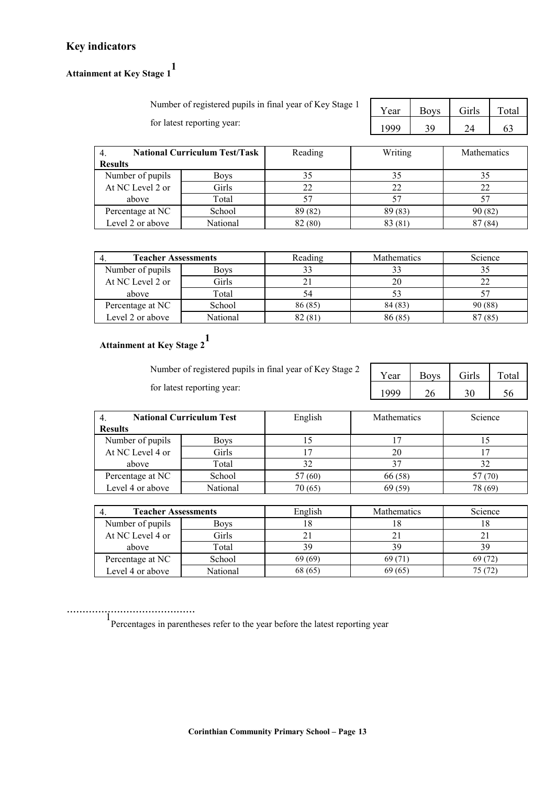# **Key indicators**

**Attainment at Key Stage 1 1**

| Number of registered pupils in final year of Key Stage 1 | Year | Boys Girls |        | Total |
|----------------------------------------------------------|------|------------|--------|-------|
| for latest reporting year:                               | 1999 | 39         | $2\pi$ |       |

| Year | <b>Boys</b> | Girls | Total |
|------|-------------|-------|-------|
| 1999 | <b>2Q</b>   |       |       |

|                  | <b>National Curriculum Test/Task</b> | Reading | Writing | <b>Mathematics</b> |
|------------------|--------------------------------------|---------|---------|--------------------|
| <b>Results</b>   |                                      |         |         |                    |
| Number of pupils | Boys                                 |         | 35      |                    |
| At NC Level 2 or | Girls                                |         | 22      | 22                 |
| above            | Total                                |         |         |                    |
| Percentage at NC | School                               | 89 (82) | 89 (83) | 90(82)             |
| Level 2 or above | National                             | 82 (80) | 83 (81) | 87(84)             |

| <b>Teacher Assessments</b> |             | Reading | <b>Mathematics</b> | Science |
|----------------------------|-------------|---------|--------------------|---------|
| Number of pupils           | <b>Boys</b> |         |                    |         |
| At NC Level 2 or           | Girls       | ∠       | 20                 |         |
| above                      | Total       |         |                    |         |
| Percentage at NC           | School      | 86 (85) | 84 (83)            | 90 (88) |
| Level 2 or above           | National    | 82(81)  | 86 (85)            | 87(85)  |

# **Attainment at Key Stage 2 1**

Number of registered pupils in final year of Key Stage 2 for latest reporting year:

| Year | <b>Boys</b> | Girls | Total |
|------|-------------|-------|-------|
| 1000 |             |       |       |

| <b>National Curriculum Test</b> |             | English | <b>Mathematics</b> | Science |
|---------------------------------|-------------|---------|--------------------|---------|
| <b>Results</b>                  |             |         |                    |         |
| Number of pupils                | <b>Boys</b> |         |                    |         |
| At NC Level 4 or                | Girls       |         | 20                 |         |
| above                           | Total       | 32      |                    |         |
| Percentage at NC                | School      | 57 (60) | 66 (58)            | 57 (70) |
| Level 4 or above                | National    | 70 (65) | 69(59)             | 78 (69) |

| <b>Teacher Assessments</b> |          | English  | <b>Mathematics</b> | Science |
|----------------------------|----------|----------|--------------------|---------|
| Number of pupils           | Boys     | $\Omega$ | 10                 | ה ו     |
| At NC Level 4 or           | Girls    |          |                    |         |
| above                      | Total    | 39       | 39                 | 39      |
| Percentage at NC           | School   | 69 (69)  | 69 (71)            | 69 (72) |
| Level 4 or above           | National | 68 (65)  | 69(65)             | 75 (72) |

......................................... <sup>1</sup> Percentages in parentheses refer to the year before the latest reporting year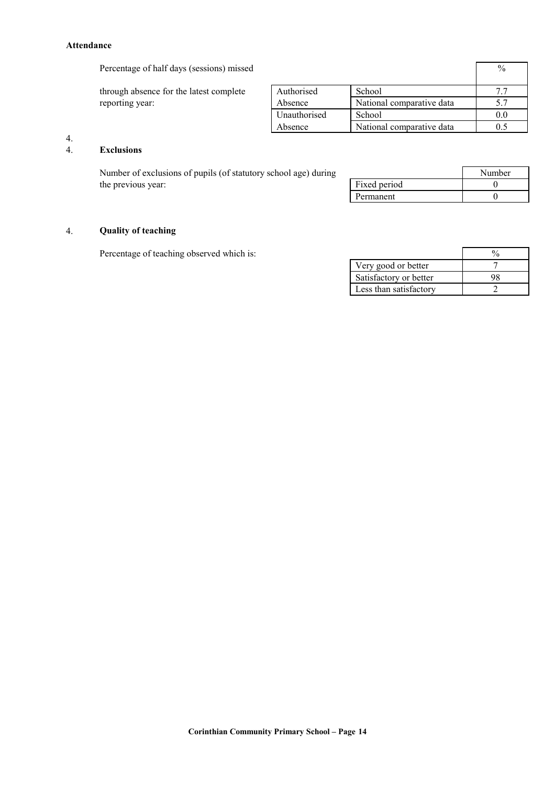#### **Attendance**

Percentage of half days (sessions) missed  $\frac{9}{6}$ 

through absence for the latest complete reporting year:

|              |                           | 70  |
|--------------|---------------------------|-----|
| Authorised   | School                    |     |
| Absence      | National comparative data | 5.7 |
| Unauthorised | School                    |     |
| Absence      | National comparative data |     |

# $\frac{4}{4}$ .

# 4. **Exclusions**

Number of exclusions of pupils (of statutory school age) during the previous year:

|              | Number |
|--------------|--------|
| Fixed period |        |
| Permanent    |        |

# 4. **Quality of teaching**

Percentage of teaching observed which is:

| Very good or better    |  |
|------------------------|--|
| Satisfactory or better |  |
| Less than satisfactory |  |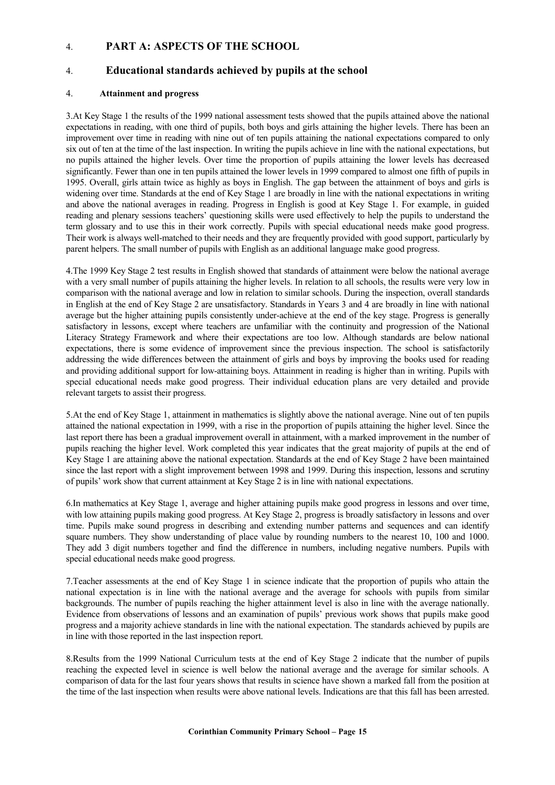# 4. **PART A: ASPECTS OF THE SCHOOL**

# 4. **Educational standards achieved by pupils at the school**

## 4. **Attainment and progress**

3.At Key Stage 1 the results of the 1999 national assessment tests showed that the pupils attained above the national expectations in reading, with one third of pupils, both boys and girls attaining the higher levels. There has been an improvement over time in reading with nine out of ten pupils attaining the national expectations compared to only six out of ten at the time of the last inspection. In writing the pupils achieve in line with the national expectations, but no pupils attained the higher levels. Over time the proportion of pupils attaining the lower levels has decreased significantly. Fewer than one in ten pupils attained the lower levels in 1999 compared to almost one fifth of pupils in 1995. Overall, girls attain twice as highly as boys in English. The gap between the attainment of boys and girls is widening over time. Standards at the end of Key Stage 1 are broadly in line with the national expectations in writing and above the national averages in reading. Progress in English is good at Key Stage 1. For example, in guided reading and plenary sessions teachers' questioning skills were used effectively to help the pupils to understand the term glossary and to use this in their work correctly. Pupils with special educational needs make good progress. Their work is always well-matched to their needs and they are frequently provided with good support, particularly by parent helpers. The small number of pupils with English as an additional language make good progress.

4.The 1999 Key Stage 2 test results in English showed that standards of attainment were below the national average with a very small number of pupils attaining the higher levels. In relation to all schools, the results were very low in comparison with the national average and low in relation to similar schools. During the inspection, overall standards in English at the end of Key Stage 2 are unsatisfactory. Standards in Years 3 and 4 are broadly in line with national average but the higher attaining pupils consistently under-achieve at the end of the key stage. Progress is generally satisfactory in lessons, except where teachers are unfamiliar with the continuity and progression of the National Literacy Strategy Framework and where their expectations are too low. Although standards are below national expectations, there is some evidence of improvement since the previous inspection. The school is satisfactorily addressing the wide differences between the attainment of girls and boys by improving the books used for reading and providing additional support for low-attaining boys. Attainment in reading is higher than in writing. Pupils with special educational needs make good progress. Their individual education plans are very detailed and provide relevant targets to assist their progress.

5.At the end of Key Stage 1, attainment in mathematics is slightly above the national average. Nine out of ten pupils attained the national expectation in 1999, with a rise in the proportion of pupils attaining the higher level. Since the last report there has been a gradual improvement overall in attainment, with a marked improvement in the number of pupils reaching the higher level. Work completed this year indicates that the great majority of pupils at the end of Key Stage 1 are attaining above the national expectation. Standards at the end of Key Stage 2 have been maintained since the last report with a slight improvement between 1998 and 1999. During this inspection, lessons and scrutiny of pupils' work show that current attainment at Key Stage 2 is in line with national expectations.

6.In mathematics at Key Stage 1, average and higher attaining pupils make good progress in lessons and over time, with low attaining pupils making good progress. At Key Stage 2, progress is broadly satisfactory in lessons and over time. Pupils make sound progress in describing and extending number patterns and sequences and can identify square numbers. They show understanding of place value by rounding numbers to the nearest 10, 100 and 1000. They add 3 digit numbers together and find the difference in numbers, including negative numbers. Pupils with special educational needs make good progress.

7.Teacher assessments at the end of Key Stage 1 in science indicate that the proportion of pupils who attain the national expectation is in line with the national average and the average for schools with pupils from similar backgrounds. The number of pupils reaching the higher attainment level is also in line with the average nationally. Evidence from observations of lessons and an examination of pupils' previous work shows that pupils make good progress and a majority achieve standards in line with the national expectation. The standards achieved by pupils are in line with those reported in the last inspection report.

8.Results from the 1999 National Curriculum tests at the end of Key Stage 2 indicate that the number of pupils reaching the expected level in science is well below the national average and the average for similar schools. A comparison of data for the last four years shows that results in science have shown a marked fall from the position at the time of the last inspection when results were above national levels. Indications are that this fall has been arrested.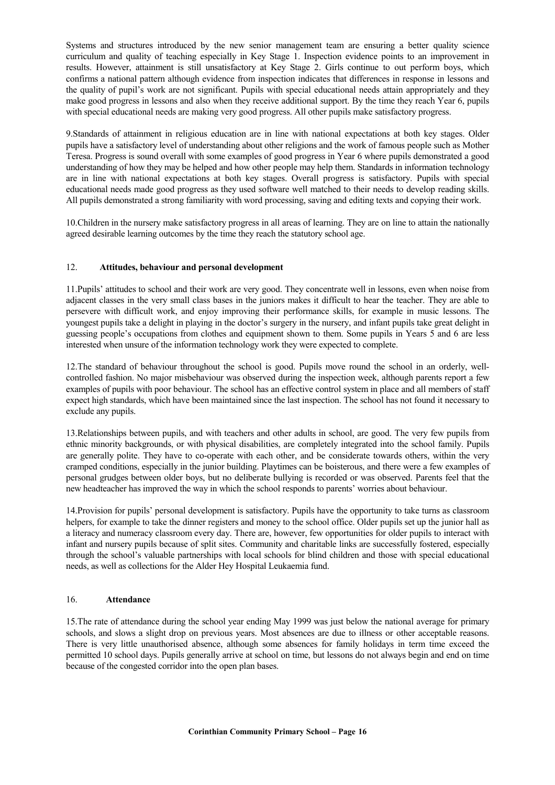Systems and structures introduced by the new senior management team are ensuring a better quality science curriculum and quality of teaching especially in Key Stage 1. Inspection evidence points to an improvement in results. However, attainment is still unsatisfactory at Key Stage 2. Girls continue to out perform boys, which confirms a national pattern although evidence from inspection indicates that differences in response in lessons and the quality of pupil's work are not significant. Pupils with special educational needs attain appropriately and they make good progress in lessons and also when they receive additional support. By the time they reach Year 6, pupils with special educational needs are making very good progress. All other pupils make satisfactory progress.

9.Standards of attainment in religious education are in line with national expectations at both key stages. Older pupils have a satisfactory level of understanding about other religions and the work of famous people such as Mother Teresa. Progress is sound overall with some examples of good progress in Year 6 where pupils demonstrated a good understanding of how they may be helped and how other people may help them. Standards in information technology are in line with national expectations at both key stages. Overall progress is satisfactory. Pupils with special educational needs made good progress as they used software well matched to their needs to develop reading skills. All pupils demonstrated a strong familiarity with word processing, saving and editing texts and copying their work.

10.Children in the nursery make satisfactory progress in all areas of learning. They are on line to attain the nationally agreed desirable learning outcomes by the time they reach the statutory school age.

# 12. **Attitudes, behaviour and personal development**

11.Pupils' attitudes to school and their work are very good. They concentrate well in lessons, even when noise from adjacent classes in the very small class bases in the juniors makes it difficult to hear the teacher. They are able to persevere with difficult work, and enjoy improving their performance skills, for example in music lessons. The youngest pupils take a delight in playing in the doctor's surgery in the nursery, and infant pupils take great delight in guessing people's occupations from clothes and equipment shown to them. Some pupils in Years 5 and 6 are less interested when unsure of the information technology work they were expected to complete.

12.The standard of behaviour throughout the school is good. Pupils move round the school in an orderly, wellcontrolled fashion. No major misbehaviour was observed during the inspection week, although parents report a few examples of pupils with poor behaviour. The school has an effective control system in place and all members of staff expect high standards, which have been maintained since the last inspection. The school has not found it necessary to exclude any pupils.

13.Relationships between pupils, and with teachers and other adults in school, are good. The very few pupils from ethnic minority backgrounds, or with physical disabilities, are completely integrated into the school family. Pupils are generally polite. They have to co-operate with each other, and be considerate towards others, within the very cramped conditions, especially in the junior building. Playtimes can be boisterous, and there were a few examples of personal grudges between older boys, but no deliberate bullying is recorded or was observed. Parents feel that the new headteacher has improved the way in which the school responds to parents' worries about behaviour.

14.Provision for pupils' personal development is satisfactory. Pupils have the opportunity to take turns as classroom helpers, for example to take the dinner registers and money to the school office. Older pupils set up the junior hall as a literacy and numeracy classroom every day. There are, however, few opportunities for older pupils to interact with infant and nursery pupils because of split sites. Community and charitable links are successfully fostered, especially through the school's valuable partnerships with local schools for blind children and those with special educational needs, as well as collections for the Alder Hey Hospital Leukaemia fund.

## 16. **Attendance**

15.The rate of attendance during the school year ending May 1999 was just below the national average for primary schools, and slows a slight drop on previous years. Most absences are due to illness or other acceptable reasons. There is very little unauthorised absence, although some absences for family holidays in term time exceed the permitted 10 school days. Pupils generally arrive at school on time, but lessons do not always begin and end on time because of the congested corridor into the open plan bases.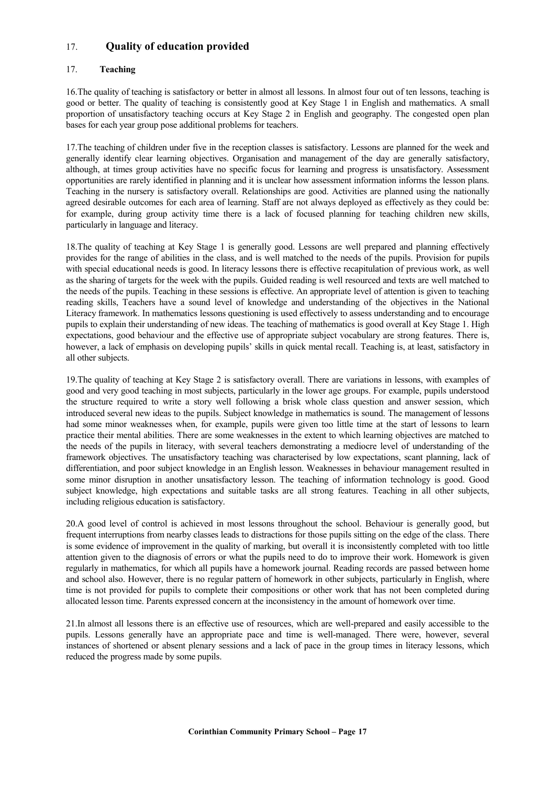# 17. **Quality of education provided**

# 17. **Teaching**

16.The quality of teaching is satisfactory or better in almost all lessons. In almost four out of ten lessons, teaching is good or better. The quality of teaching is consistently good at Key Stage 1 in English and mathematics. A small proportion of unsatisfactory teaching occurs at Key Stage 2 in English and geography. The congested open plan bases for each year group pose additional problems for teachers.

17.The teaching of children under five in the reception classes is satisfactory. Lessons are planned for the week and generally identify clear learning objectives. Organisation and management of the day are generally satisfactory, although, at times group activities have no specific focus for learning and progress is unsatisfactory. Assessment opportunities are rarely identified in planning and it is unclear how assessment information informs the lesson plans. Teaching in the nursery is satisfactory overall. Relationships are good. Activities are planned using the nationally agreed desirable outcomes for each area of learning. Staff are not always deployed as effectively as they could be: for example, during group activity time there is a lack of focused planning for teaching children new skills, particularly in language and literacy.

18.The quality of teaching at Key Stage 1 is generally good. Lessons are well prepared and planning effectively provides for the range of abilities in the class, and is well matched to the needs of the pupils. Provision for pupils with special educational needs is good. In literacy lessons there is effective recapitulation of previous work, as well as the sharing of targets for the week with the pupils. Guided reading is well resourced and texts are well matched to the needs of the pupils. Teaching in these sessions is effective. An appropriate level of attention is given to teaching reading skills, Teachers have a sound level of knowledge and understanding of the objectives in the National Literacy framework. In mathematics lessons questioning is used effectively to assess understanding and to encourage pupils to explain their understanding of new ideas. The teaching of mathematics is good overall at Key Stage 1. High expectations, good behaviour and the effective use of appropriate subject vocabulary are strong features. There is, however, a lack of emphasis on developing pupils' skills in quick mental recall. Teaching is, at least, satisfactory in all other subjects.

19.The quality of teaching at Key Stage 2 is satisfactory overall. There are variations in lessons, with examples of good and very good teaching in most subjects, particularly in the lower age groups. For example, pupils understood the structure required to write a story well following a brisk whole class question and answer session, which introduced several new ideas to the pupils. Subject knowledge in mathematics is sound. The management of lessons had some minor weaknesses when, for example, pupils were given too little time at the start of lessons to learn practice their mental abilities. There are some weaknesses in the extent to which learning objectives are matched to the needs of the pupils in literacy, with several teachers demonstrating a mediocre level of understanding of the framework objectives. The unsatisfactory teaching was characterised by low expectations, scant planning, lack of differentiation, and poor subject knowledge in an English lesson. Weaknesses in behaviour management resulted in some minor disruption in another unsatisfactory lesson. The teaching of information technology is good. Good subject knowledge, high expectations and suitable tasks are all strong features. Teaching in all other subjects, including religious education is satisfactory.

20.A good level of control is achieved in most lessons throughout the school. Behaviour is generally good, but frequent interruptions from nearby classes leads to distractions for those pupils sitting on the edge of the class. There is some evidence of improvement in the quality of marking, but overall it is inconsistently completed with too little attention given to the diagnosis of errors or what the pupils need to do to improve their work. Homework is given regularly in mathematics, for which all pupils have a homework journal. Reading records are passed between home and school also. However, there is no regular pattern of homework in other subjects, particularly in English, where time is not provided for pupils to complete their compositions or other work that has not been completed during allocated lesson time. Parents expressed concern at the inconsistency in the amount of homework over time.

21.In almost all lessons there is an effective use of resources, which are well-prepared and easily accessible to the pupils. Lessons generally have an appropriate pace and time is well-managed. There were, however, several instances of shortened or absent plenary sessions and a lack of pace in the group times in literacy lessons, which reduced the progress made by some pupils.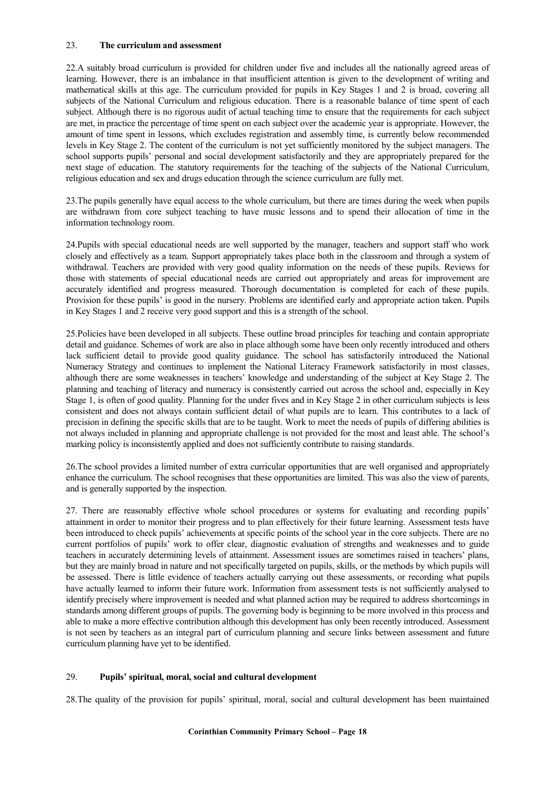## 23. **The curriculum and assessment**

22.A suitably broad curriculum is provided for children under five and includes all the nationally agreed areas of learning. However, there is an imbalance in that insufficient attention is given to the development of writing and mathematical skills at this age. The curriculum provided for pupils in Key Stages 1 and 2 is broad, covering all subjects of the National Curriculum and religious education. There is a reasonable balance of time spent of each subject. Although there is no rigorous audit of actual teaching time to ensure that the requirements for each subject are met, in practice the percentage of time spent on each subject over the academic year is appropriate. However, the amount of time spent in lessons, which excludes registration and assembly time, is currently below recommended levels in Key Stage 2. The content of the curriculum is not yet sufficiently monitored by the subject managers. The school supports pupils' personal and social development satisfactorily and they are appropriately prepared for the next stage of education. The statutory requirements for the teaching of the subjects of the National Curriculum, religious education and sex and drugs education through the science curriculum are fully met.

23.The pupils generally have equal access to the whole curriculum, but there are times during the week when pupils are withdrawn from core subject teaching to have music lessons and to spend their allocation of time in the information technology room.

24.Pupils with special educational needs are well supported by the manager, teachers and support staff who work closely and effectively as a team. Support appropriately takes place both in the classroom and through a system of withdrawal. Teachers are provided with very good quality information on the needs of these pupils. Reviews for those with statements of special educational needs are carried out appropriately and areas for improvement are accurately identified and progress measured. Thorough documentation is completed for each of these pupils. Provision for these pupils' is good in the nursery. Problems are identified early and appropriate action taken. Pupils in Key Stages 1 and 2 receive very good support and this is a strength of the school.

25.Policies have been developed in all subjects. These outline broad principles for teaching and contain appropriate detail and guidance. Schemes of work are also in place although some have been only recently introduced and others lack sufficient detail to provide good quality guidance. The school has satisfactorily introduced the National Numeracy Strategy and continues to implement the National Literacy Framework satisfactorily in most classes, although there are some weaknesses in teachers' knowledge and understanding of the subject at Key Stage 2. The planning and teaching of literacy and numeracy is consistently carried out across the school and, especially in Key Stage 1, is often of good quality. Planning for the under fives and in Key Stage 2 in other curriculum subjects is less consistent and does not always contain sufficient detail of what pupils are to learn. This contributes to a lack of precision in defining the specific skills that are to be taught. Work to meet the needs of pupils of differing abilities is not always included in planning and appropriate challenge is not provided for the most and least able. The school's marking policy is inconsistently applied and does not sufficiently contribute to raising standards.

26.The school provides a limited number of extra curricular opportunities that are well organised and appropriately enhance the curriculum. The school recognises that these opportunities are limited. This was also the view of parents, and is generally supported by the inspection.

27. There are reasonably effective whole school procedures or systems for evaluating and recording pupils' attainment in order to monitor their progress and to plan effectively for their future learning. Assessment tests have been introduced to check pupils' achievements at specific points of the school year in the core subjects. There are no current portfolios of pupils' work to offer clear, diagnostic evaluation of strengths and weaknesses and to guide teachers in accurately determining levels of attainment. Assessment issues are sometimes raised in teachers' plans, but they are mainly broad in nature and not specifically targeted on pupils, skills, or the methods by which pupils will be assessed. There is little evidence of teachers actually carrying out these assessments, or recording what pupils have actually learned to inform their future work. Information from assessment tests is not sufficiently analysed to identify precisely where improvement is needed and what planned action may be required to address shortcomings in standards among different groups of pupils. The governing body is beginning to be more involved in this process and able to make a more effective contribution although this development has only been recently introduced. Assessment is not seen by teachers as an integral part of curriculum planning and secure links between assessment and future curriculum planning have yet to be identified.

# 29. **Pupils' spiritual, moral, social and cultural development**

28.The quality of the provision for pupils' spiritual, moral, social and cultural development has been maintained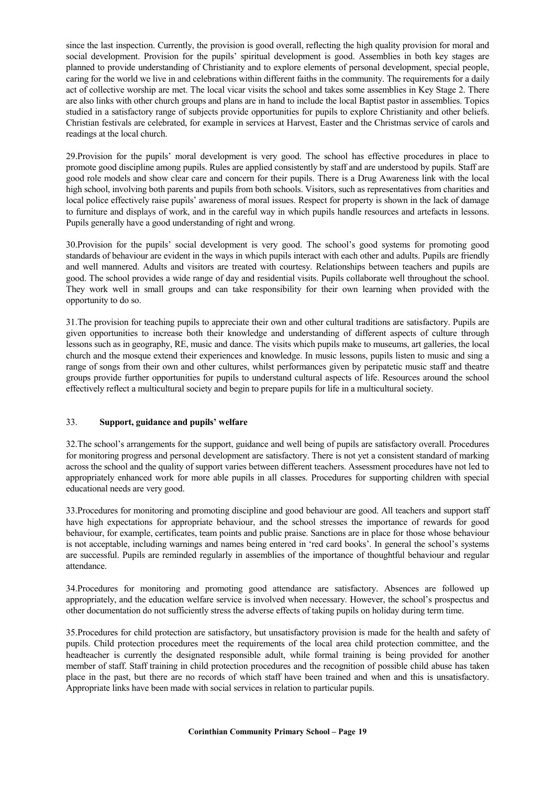since the last inspection. Currently, the provision is good overall, reflecting the high quality provision for moral and social development. Provision for the pupils' spiritual development is good. Assemblies in both key stages are planned to provide understanding of Christianity and to explore elements of personal development, special people, caring for the world we live in and celebrations within different faiths in the community. The requirements for a daily act of collective worship are met. The local vicar visits the school and takes some assemblies in Key Stage 2. There are also links with other church groups and plans are in hand to include the local Baptist pastor in assemblies. Topics studied in a satisfactory range of subjects provide opportunities for pupils to explore Christianity and other beliefs. Christian festivals are celebrated, for example in services at Harvest, Easter and the Christmas service of carols and readings at the local church.

29.Provision for the pupils' moral development is very good. The school has effective procedures in place to promote good discipline among pupils. Rules are applied consistently by staff and are understood by pupils. Staff are good role models and show clear care and concern for their pupils. There is a Drug Awareness link with the local high school, involving both parents and pupils from both schools. Visitors, such as representatives from charities and local police effectively raise pupils' awareness of moral issues. Respect for property is shown in the lack of damage to furniture and displays of work, and in the careful way in which pupils handle resources and artefacts in lessons. Pupils generally have a good understanding of right and wrong.

30.Provision for the pupils' social development is very good. The school's good systems for promoting good standards of behaviour are evident in the ways in which pupils interact with each other and adults. Pupils are friendly and well mannered. Adults and visitors are treated with courtesy. Relationships between teachers and pupils are good. The school provides a wide range of day and residential visits. Pupils collaborate well throughout the school. They work well in small groups and can take responsibility for their own learning when provided with the opportunity to do so.

31.The provision for teaching pupils to appreciate their own and other cultural traditions are satisfactory. Pupils are given opportunities to increase both their knowledge and understanding of different aspects of culture through lessons such as in geography, RE, music and dance. The visits which pupils make to museums, art galleries, the local church and the mosque extend their experiences and knowledge. In music lessons, pupils listen to music and sing a range of songs from their own and other cultures, whilst performances given by peripatetic music staff and theatre groups provide further opportunities for pupils to understand cultural aspects of life. Resources around the school effectively reflect a multicultural society and begin to prepare pupils for life in a multicultural society.

# 33. **Support, guidance and pupils' welfare**

32.The school's arrangements for the support, guidance and well being of pupils are satisfactory overall. Procedures for monitoring progress and personal development are satisfactory. There is not yet a consistent standard of marking across the school and the quality of support varies between different teachers. Assessment procedures have not led to appropriately enhanced work for more able pupils in all classes. Procedures for supporting children with special educational needs are very good.

33.Procedures for monitoring and promoting discipline and good behaviour are good. All teachers and support staff have high expectations for appropriate behaviour, and the school stresses the importance of rewards for good behaviour, for example, certificates, team points and public praise. Sanctions are in place for those whose behaviour is not acceptable, including warnings and names being entered in 'red card books'. In general the school's systems are successful. Pupils are reminded regularly in assemblies of the importance of thoughtful behaviour and regular attendance.

34.Procedures for monitoring and promoting good attendance are satisfactory. Absences are followed up appropriately, and the education welfare service is involved when necessary. However, the school's prospectus and other documentation do not sufficiently stress the adverse effects of taking pupils on holiday during term time.

35.Procedures for child protection are satisfactory, but unsatisfactory provision is made for the health and safety of pupils. Child protection procedures meet the requirements of the local area child protection committee, and the headteacher is currently the designated responsible adult, while formal training is being provided for another member of staff. Staff training in child protection procedures and the recognition of possible child abuse has taken place in the past, but there are no records of which staff have been trained and when and this is unsatisfactory. Appropriate links have been made with social services in relation to particular pupils.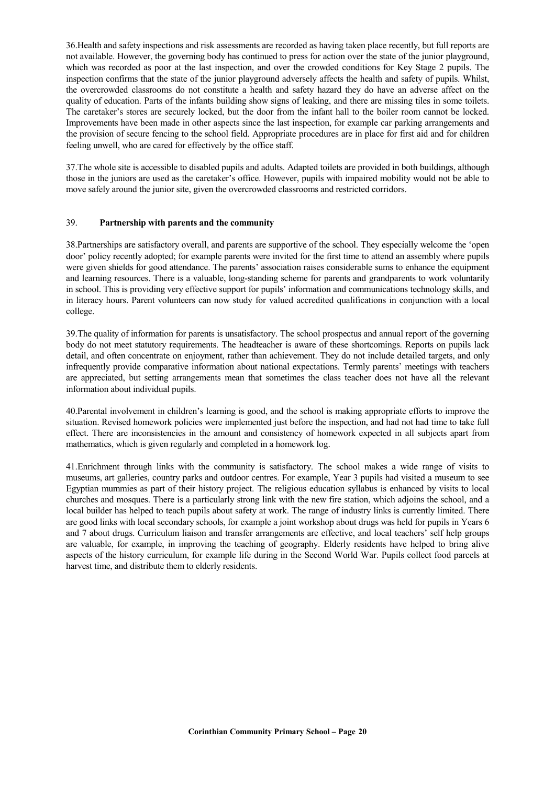36.Health and safety inspections and risk assessments are recorded as having taken place recently, but full reports are not available. However, the governing body has continued to press for action over the state of the junior playground, which was recorded as poor at the last inspection, and over the crowded conditions for Key Stage 2 pupils. The inspection confirms that the state of the junior playground adversely affects the health and safety of pupils. Whilst, the overcrowded classrooms do not constitute a health and safety hazard they do have an adverse affect on the quality of education. Parts of the infants building show signs of leaking, and there are missing tiles in some toilets. The caretaker's stores are securely locked, but the door from the infant hall to the boiler room cannot be locked. Improvements have been made in other aspects since the last inspection, for example car parking arrangements and the provision of secure fencing to the school field. Appropriate procedures are in place for first aid and for children feeling unwell, who are cared for effectively by the office staff.

37.The whole site is accessible to disabled pupils and adults. Adapted toilets are provided in both buildings, although those in the juniors are used as the caretaker's office. However, pupils with impaired mobility would not be able to move safely around the junior site, given the overcrowded classrooms and restricted corridors.

## 39. **Partnership with parents and the community**

38.Partnerships are satisfactory overall, and parents are supportive of the school. They especially welcome the 'open door' policy recently adopted; for example parents were invited for the first time to attend an assembly where pupils were given shields for good attendance. The parents' association raises considerable sums to enhance the equipment and learning resources. There is a valuable, long-standing scheme for parents and grandparents to work voluntarily in school. This is providing very effective support for pupils' information and communications technology skills, and in literacy hours. Parent volunteers can now study for valued accredited qualifications in conjunction with a local college.

39.The quality of information for parents is unsatisfactory. The school prospectus and annual report of the governing body do not meet statutory requirements. The headteacher is aware of these shortcomings. Reports on pupils lack detail, and often concentrate on enjoyment, rather than achievement. They do not include detailed targets, and only infrequently provide comparative information about national expectations. Termly parents' meetings with teachers are appreciated, but setting arrangements mean that sometimes the class teacher does not have all the relevant information about individual pupils.

40.Parental involvement in children's learning is good, and the school is making appropriate efforts to improve the situation. Revised homework policies were implemented just before the inspection, and had not had time to take full effect. There are inconsistencies in the amount and consistency of homework expected in all subjects apart from mathematics, which is given regularly and completed in a homework log.

41.Enrichment through links with the community is satisfactory. The school makes a wide range of visits to museums, art galleries, country parks and outdoor centres. For example, Year 3 pupils had visited a museum to see Egyptian mummies as part of their history project. The religious education syllabus is enhanced by visits to local churches and mosques. There is a particularly strong link with the new fire station, which adjoins the school, and a local builder has helped to teach pupils about safety at work. The range of industry links is currently limited. There are good links with local secondary schools, for example a joint workshop about drugs was held for pupils in Years 6 and 7 about drugs. Curriculum liaison and transfer arrangements are effective, and local teachers' self help groups are valuable, for example, in improving the teaching of geography. Elderly residents have helped to bring alive aspects of the history curriculum, for example life during in the Second World War. Pupils collect food parcels at harvest time, and distribute them to elderly residents.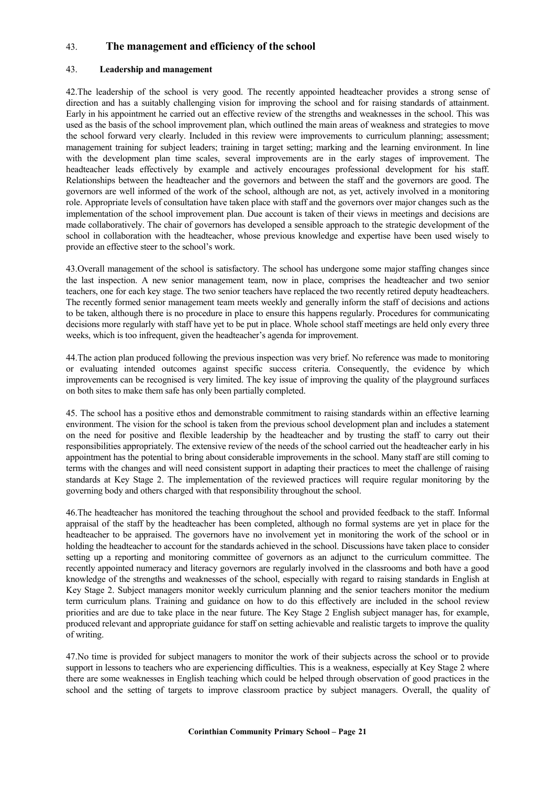# 43. **The management and efficiency of the school**

## 43. **Leadership and management**

42.The leadership of the school is very good. The recently appointed headteacher provides a strong sense of direction and has a suitably challenging vision for improving the school and for raising standards of attainment. Early in his appointment he carried out an effective review of the strengths and weaknesses in the school. This was used as the basis of the school improvement plan, which outlined the main areas of weakness and strategies to move the school forward very clearly. Included in this review were improvements to curriculum planning; assessment; management training for subject leaders; training in target setting; marking and the learning environment. In line with the development plan time scales, several improvements are in the early stages of improvement. The headteacher leads effectively by example and actively encourages professional development for his staff. Relationships between the headteacher and the governors and between the staff and the governors are good. The governors are well informed of the work of the school, although are not, as yet, actively involved in a monitoring role. Appropriate levels of consultation have taken place with staff and the governors over major changes such as the implementation of the school improvement plan. Due account is taken of their views in meetings and decisions are made collaboratively. The chair of governors has developed a sensible approach to the strategic development of the school in collaboration with the headteacher, whose previous knowledge and expertise have been used wisely to provide an effective steer to the school's work.

43.Overall management of the school is satisfactory. The school has undergone some major staffing changes since the last inspection. A new senior management team, now in place, comprises the headteacher and two senior teachers, one for each key stage. The two senior teachers have replaced the two recently retired deputy headteachers. The recently formed senior management team meets weekly and generally inform the staff of decisions and actions to be taken, although there is no procedure in place to ensure this happens regularly. Procedures for communicating decisions more regularly with staff have yet to be put in place. Whole school staff meetings are held only every three weeks, which is too infrequent, given the headteacher's agenda for improvement.

44.The action plan produced following the previous inspection was very brief. No reference was made to monitoring or evaluating intended outcomes against specific success criteria. Consequently, the evidence by which improvements can be recognised is very limited. The key issue of improving the quality of the playground surfaces on both sites to make them safe has only been partially completed.

45. The school has a positive ethos and demonstrable commitment to raising standards within an effective learning environment. The vision for the school is taken from the previous school development plan and includes a statement on the need for positive and flexible leadership by the headteacher and by trusting the staff to carry out their responsibilities appropriately. The extensive review of the needs of the school carried out the headteacher early in his appointment has the potential to bring about considerable improvements in the school. Many staff are still coming to terms with the changes and will need consistent support in adapting their practices to meet the challenge of raising standards at Key Stage 2. The implementation of the reviewed practices will require regular monitoring by the governing body and others charged with that responsibility throughout the school.

46.The headteacher has monitored the teaching throughout the school and provided feedback to the staff. Informal appraisal of the staff by the headteacher has been completed, although no formal systems are yet in place for the headteacher to be appraised. The governors have no involvement yet in monitoring the work of the school or in holding the headteacher to account for the standards achieved in the school. Discussions have taken place to consider setting up a reporting and monitoring committee of governors as an adjunct to the curriculum committee. The recently appointed numeracy and literacy governors are regularly involved in the classrooms and both have a good knowledge of the strengths and weaknesses of the school, especially with regard to raising standards in English at Key Stage 2. Subject managers monitor weekly curriculum planning and the senior teachers monitor the medium term curriculum plans. Training and guidance on how to do this effectively are included in the school review priorities and are due to take place in the near future. The Key Stage 2 English subject manager has, for example, produced relevant and appropriate guidance for staff on setting achievable and realistic targets to improve the quality of writing.

47.No time is provided for subject managers to monitor the work of their subjects across the school or to provide support in lessons to teachers who are experiencing difficulties. This is a weakness, especially at Key Stage 2 where there are some weaknesses in English teaching which could be helped through observation of good practices in the school and the setting of targets to improve classroom practice by subject managers. Overall, the quality of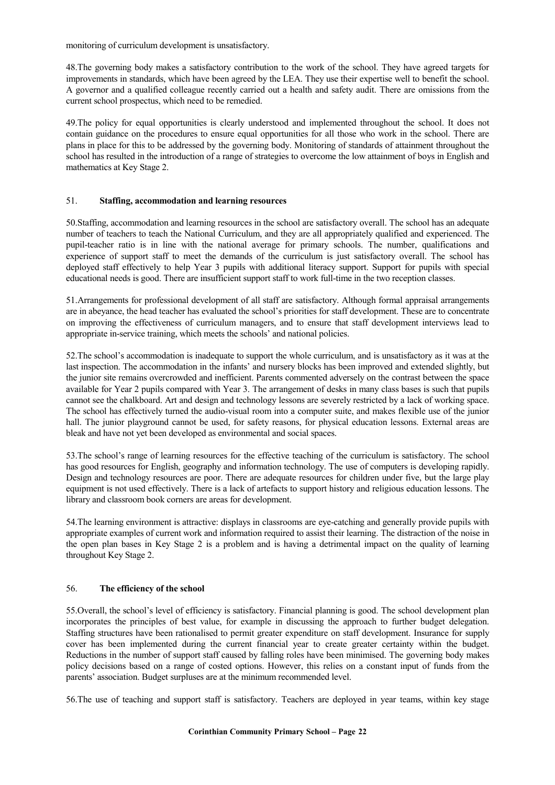monitoring of curriculum development is unsatisfactory.

48.The governing body makes a satisfactory contribution to the work of the school. They have agreed targets for improvements in standards, which have been agreed by the LEA. They use their expertise well to benefit the school. A governor and a qualified colleague recently carried out a health and safety audit. There are omissions from the current school prospectus, which need to be remedied.

49.The policy for equal opportunities is clearly understood and implemented throughout the school. It does not contain guidance on the procedures to ensure equal opportunities for all those who work in the school. There are plans in place for this to be addressed by the governing body. Monitoring of standards of attainment throughout the school has resulted in the introduction of a range of strategies to overcome the low attainment of boys in English and mathematics at Key Stage 2.

## 51. **Staffing, accommodation and learning resources**

50.Staffing, accommodation and learning resources in the school are satisfactory overall. The school has an adequate number of teachers to teach the National Curriculum, and they are all appropriately qualified and experienced. The pupil-teacher ratio is in line with the national average for primary schools. The number, qualifications and experience of support staff to meet the demands of the curriculum is just satisfactory overall. The school has deployed staff effectively to help Year 3 pupils with additional literacy support. Support for pupils with special educational needs is good. There are insufficient support staff to work full-time in the two reception classes.

51.Arrangements for professional development of all staff are satisfactory. Although formal appraisal arrangements are in abeyance, the head teacher has evaluated the school's priorities for staff development. These are to concentrate on improving the effectiveness of curriculum managers, and to ensure that staff development interviews lead to appropriate in-service training, which meets the schools' and national policies.

52.The school's accommodation is inadequate to support the whole curriculum, and is unsatisfactory as it was at the last inspection. The accommodation in the infants' and nursery blocks has been improved and extended slightly, but the junior site remains overcrowded and inefficient. Parents commented adversely on the contrast between the space available for Year 2 pupils compared with Year 3. The arrangement of desks in many class bases is such that pupils cannot see the chalkboard. Art and design and technology lessons are severely restricted by a lack of working space. The school has effectively turned the audio-visual room into a computer suite, and makes flexible use of the junior hall. The junior playground cannot be used, for safety reasons, for physical education lessons. External areas are bleak and have not yet been developed as environmental and social spaces.

53.The school's range of learning resources for the effective teaching of the curriculum is satisfactory. The school has good resources for English, geography and information technology. The use of computers is developing rapidly. Design and technology resources are poor. There are adequate resources for children under five, but the large play equipment is not used effectively. There is a lack of artefacts to support history and religious education lessons. The library and classroom book corners are areas for development.

54.The learning environment is attractive: displays in classrooms are eye-catching and generally provide pupils with appropriate examples of current work and information required to assist their learning. The distraction of the noise in the open plan bases in Key Stage 2 is a problem and is having a detrimental impact on the quality of learning throughout Key Stage 2.

## 56. **The efficiency of the school**

55.Overall, the school's level of efficiency is satisfactory. Financial planning is good. The school development plan incorporates the principles of best value, for example in discussing the approach to further budget delegation. Staffing structures have been rationalised to permit greater expenditure on staff development. Insurance for supply cover has been implemented during the current financial year to create greater certainty within the budget. Reductions in the number of support staff caused by falling roles have been minimised. The governing body makes policy decisions based on a range of costed options. However, this relies on a constant input of funds from the parents' association. Budget surpluses are at the minimum recommended level.

56.The use of teaching and support staff is satisfactory. Teachers are deployed in year teams, within key stage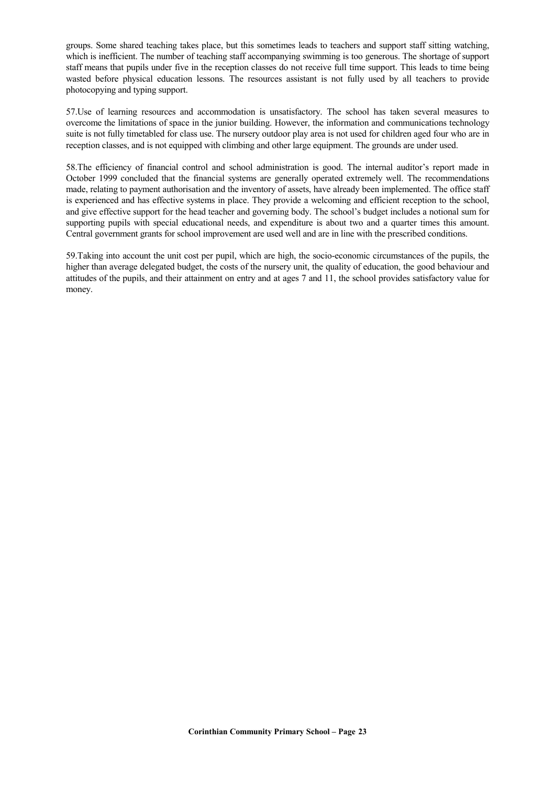groups. Some shared teaching takes place, but this sometimes leads to teachers and support staff sitting watching, which is inefficient. The number of teaching staff accompanying swimming is too generous. The shortage of support staff means that pupils under five in the reception classes do not receive full time support. This leads to time being wasted before physical education lessons. The resources assistant is not fully used by all teachers to provide photocopying and typing support.

57.Use of learning resources and accommodation is unsatisfactory. The school has taken several measures to overcome the limitations of space in the junior building. However, the information and communications technology suite is not fully timetabled for class use. The nursery outdoor play area is not used for children aged four who are in reception classes, and is not equipped with climbing and other large equipment. The grounds are under used.

58.The efficiency of financial control and school administration is good. The internal auditor's report made in October 1999 concluded that the financial systems are generally operated extremely well. The recommendations made, relating to payment authorisation and the inventory of assets, have already been implemented. The office staff is experienced and has effective systems in place. They provide a welcoming and efficient reception to the school, and give effective support for the head teacher and governing body. The school's budget includes a notional sum for supporting pupils with special educational needs, and expenditure is about two and a quarter times this amount. Central government grants for school improvement are used well and are in line with the prescribed conditions.

59.Taking into account the unit cost per pupil, which are high, the socio-economic circumstances of the pupils, the higher than average delegated budget, the costs of the nursery unit, the quality of education, the good behaviour and attitudes of the pupils, and their attainment on entry and at ages 7 and 11, the school provides satisfactory value for money.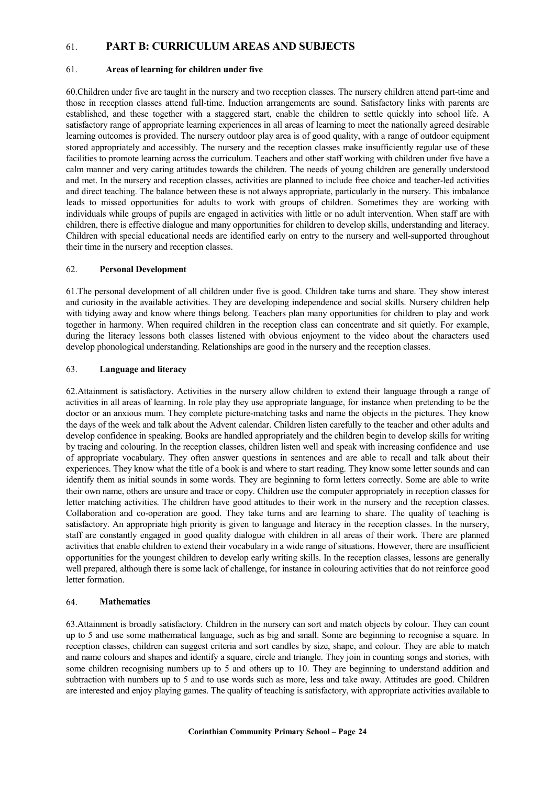# 61. **PART B: CURRICULUM AREAS AND SUBJECTS**

#### 61. **Areas of learning for children under five**

60.Children under five are taught in the nursery and two reception classes. The nursery children attend part-time and those in reception classes attend full-time. Induction arrangements are sound. Satisfactory links with parents are established, and these together with a staggered start, enable the children to settle quickly into school life. A satisfactory range of appropriate learning experiences in all areas of learning to meet the nationally agreed desirable learning outcomes is provided. The nursery outdoor play area is of good quality, with a range of outdoor equipment stored appropriately and accessibly. The nursery and the reception classes make insufficiently regular use of these facilities to promote learning across the curriculum. Teachers and other staff working with children under five have a calm manner and very caring attitudes towards the children. The needs of young children are generally understood and met. In the nursery and reception classes, activities are planned to include free choice and teacher-led activities and direct teaching. The balance between these is not always appropriate, particularly in the nursery. This imbalance leads to missed opportunities for adults to work with groups of children. Sometimes they are working with individuals while groups of pupils are engaged in activities with little or no adult intervention. When staff are with children, there is effective dialogue and many opportunities for children to develop skills, understanding and literacy. Children with special educational needs are identified early on entry to the nursery and well-supported throughout their time in the nursery and reception classes.

## 62. **Personal Development**

61.The personal development of all children under five is good. Children take turns and share. They show interest and curiosity in the available activities. They are developing independence and social skills. Nursery children help with tidying away and know where things belong. Teachers plan many opportunities for children to play and work together in harmony. When required children in the reception class can concentrate and sit quietly. For example, during the literacy lessons both classes listened with obvious enjoyment to the video about the characters used develop phonological understanding. Relationships are good in the nursery and the reception classes.

## 63. **Language and literacy**

62.Attainment is satisfactory. Activities in the nursery allow children to extend their language through a range of activities in all areas of learning. In role play they use appropriate language, for instance when pretending to be the doctor or an anxious mum. They complete picture-matching tasks and name the objects in the pictures. They know the days of the week and talk about the Advent calendar. Children listen carefully to the teacher and other adults and develop confidence in speaking. Books are handled appropriately and the children begin to develop skills for writing by tracing and colouring. In the reception classes, children listen well and speak with increasing confidence and use of appropriate vocabulary. They often answer questions in sentences and are able to recall and talk about their experiences. They know what the title of a book is and where to start reading. They know some letter sounds and can identify them as initial sounds in some words. They are beginning to form letters correctly. Some are able to write their own name, others are unsure and trace or copy. Children use the computer appropriately in reception classes for letter matching activities. The children have good attitudes to their work in the nursery and the reception classes. Collaboration and co-operation are good. They take turns and are learning to share. The quality of teaching is satisfactory. An appropriate high priority is given to language and literacy in the reception classes. In the nursery, staff are constantly engaged in good quality dialogue with children in all areas of their work. There are planned activities that enable children to extend their vocabulary in a wide range of situations. However, there are insufficient opportunities for the youngest children to develop early writing skills. In the reception classes, lessons are generally well prepared, although there is some lack of challenge, for instance in colouring activities that do not reinforce good letter formation.

## 64. **Mathematics**

63.Attainment is broadly satisfactory. Children in the nursery can sort and match objects by colour. They can count up to 5 and use some mathematical language, such as big and small. Some are beginning to recognise a square. In reception classes, children can suggest criteria and sort candles by size, shape, and colour. They are able to match and name colours and shapes and identify a square, circle and triangle. They join in counting songs and stories, with some children recognising numbers up to 5 and others up to 10. They are beginning to understand addition and subtraction with numbers up to 5 and to use words such as more, less and take away. Attitudes are good. Children are interested and enjoy playing games. The quality of teaching is satisfactory, with appropriate activities available to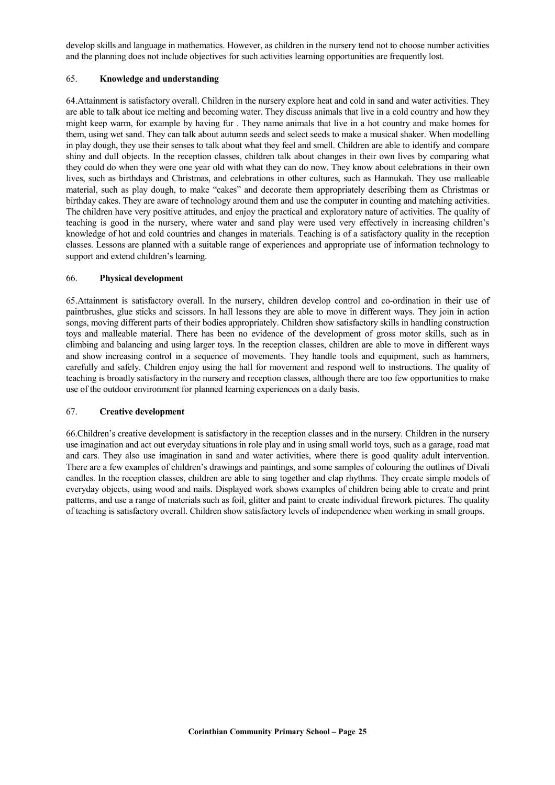develop skills and language in mathematics. However, as children in the nursery tend not to choose number activities and the planning does not include objectives for such activities learning opportunities are frequently lost.

#### 65. **Knowledge and understanding**

64.Attainment is satisfactory overall. Children in the nursery explore heat and cold in sand and water activities. They are able to talk about ice melting and becoming water. They discuss animals that live in a cold country and how they might keep warm, for example by having fur . They name animals that live in a hot country and make homes for them, using wet sand. They can talk about autumn seeds and select seeds to make a musical shaker. When modelling in play dough, they use their senses to talk about what they feel and smell. Children are able to identify and compare shiny and dull objects. In the reception classes, children talk about changes in their own lives by comparing what they could do when they were one year old with what they can do now. They know about celebrations in their own lives, such as birthdays and Christmas, and celebrations in other cultures, such as Hannukah. They use malleable material, such as play dough, to make "cakes" and decorate them appropriately describing them as Christmas or birthday cakes. They are aware of technology around them and use the computer in counting and matching activities. The children have very positive attitudes, and enjoy the practical and exploratory nature of activities. The quality of teaching is good in the nursery, where water and sand play were used very effectively in increasing children's knowledge of hot and cold countries and changes in materials. Teaching is of a satisfactory quality in the reception classes. Lessons are planned with a suitable range of experiences and appropriate use of information technology to support and extend children's learning.

## 66. **Physical development**

65.Attainment is satisfactory overall. In the nursery, children develop control and co-ordination in their use of paintbrushes, glue sticks and scissors. In hall lessons they are able to move in different ways. They join in action songs, moving different parts of their bodies appropriately. Children show satisfactory skills in handling construction toys and malleable material. There has been no evidence of the development of gross motor skills, such as in climbing and balancing and using larger toys. In the reception classes, children are able to move in different ways and show increasing control in a sequence of movements. They handle tools and equipment, such as hammers, carefully and safely. Children enjoy using the hall for movement and respond well to instructions. The quality of teaching is broadly satisfactory in the nursery and reception classes, although there are too few opportunities to make use of the outdoor environment for planned learning experiences on a daily basis.

## 67. **Creative development**

66.Children's creative development is satisfactory in the reception classes and in the nursery. Children in the nursery use imagination and act out everyday situations in role play and in using small world toys, such as a garage, road mat and cars. They also use imagination in sand and water activities, where there is good quality adult intervention. There are a few examples of children's drawings and paintings, and some samples of colouring the outlines of Divali candles. In the reception classes, children are able to sing together and clap rhythms. They create simple models of everyday objects, using wood and nails. Displayed work shows examples of children being able to create and print patterns, and use a range of materials such as foil, glitter and paint to create individual firework pictures. The quality of teaching is satisfactory overall. Children show satisfactory levels of independence when working in small groups.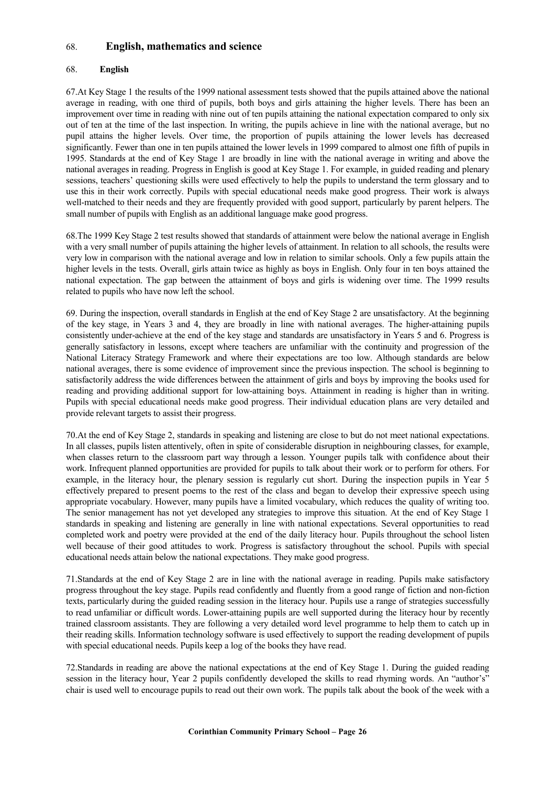# 68. **English, mathematics and science**

## 68. **English**

67.At Key Stage 1 the results of the 1999 national assessment tests showed that the pupils attained above the national average in reading, with one third of pupils, both boys and girls attaining the higher levels. There has been an improvement over time in reading with nine out of ten pupils attaining the national expectation compared to only six out of ten at the time of the last inspection. In writing, the pupils achieve in line with the national average, but no pupil attains the higher levels. Over time, the proportion of pupils attaining the lower levels has decreased significantly. Fewer than one in ten pupils attained the lower levels in 1999 compared to almost one fifth of pupils in 1995. Standards at the end of Key Stage 1 are broadly in line with the national average in writing and above the national averages in reading. Progress in English is good at Key Stage 1. For example, in guided reading and plenary sessions, teachers' questioning skills were used effectively to help the pupils to understand the term glossary and to use this in their work correctly. Pupils with special educational needs make good progress. Their work is always well-matched to their needs and they are frequently provided with good support, particularly by parent helpers. The small number of pupils with English as an additional language make good progress.

68.The 1999 Key Stage 2 test results showed that standards of attainment were below the national average in English with a very small number of pupils attaining the higher levels of attainment. In relation to all schools, the results were very low in comparison with the national average and low in relation to similar schools. Only a few pupils attain the higher levels in the tests. Overall, girls attain twice as highly as boys in English. Only four in ten boys attained the national expectation. The gap between the attainment of boys and girls is widening over time. The 1999 results related to pupils who have now left the school.

69. During the inspection, overall standards in English at the end of Key Stage 2 are unsatisfactory. At the beginning of the key stage, in Years 3 and 4, they are broadly in line with national averages. The higher-attaining pupils consistently under-achieve at the end of the key stage and standards are unsatisfactory in Years 5 and 6. Progress is generally satisfactory in lessons, except where teachers are unfamiliar with the continuity and progression of the National Literacy Strategy Framework and where their expectations are too low. Although standards are below national averages, there is some evidence of improvement since the previous inspection. The school is beginning to satisfactorily address the wide differences between the attainment of girls and boys by improving the books used for reading and providing additional support for low-attaining boys. Attainment in reading is higher than in writing. Pupils with special educational needs make good progress. Their individual education plans are very detailed and provide relevant targets to assist their progress.

70.At the end of Key Stage 2, standards in speaking and listening are close to but do not meet national expectations. In all classes, pupils listen attentively, often in spite of considerable disruption in neighbouring classes, for example, when classes return to the classroom part way through a lesson. Younger pupils talk with confidence about their work. Infrequent planned opportunities are provided for pupils to talk about their work or to perform for others. For example, in the literacy hour, the plenary session is regularly cut short. During the inspection pupils in Year 5 effectively prepared to present poems to the rest of the class and began to develop their expressive speech using appropriate vocabulary. However, many pupils have a limited vocabulary, which reduces the quality of writing too. The senior management has not yet developed any strategies to improve this situation. At the end of Key Stage 1 standards in speaking and listening are generally in line with national expectations. Several opportunities to read completed work and poetry were provided at the end of the daily literacy hour. Pupils throughout the school listen well because of their good attitudes to work. Progress is satisfactory throughout the school. Pupils with special educational needs attain below the national expectations. They make good progress.

71.Standards at the end of Key Stage 2 are in line with the national average in reading. Pupils make satisfactory progress throughout the key stage. Pupils read confidently and fluently from a good range of fiction and non-fiction texts, particularly during the guided reading session in the literacy hour. Pupils use a range of strategies successfully to read unfamiliar or difficult words. Lower-attaining pupils are well supported during the literacy hour by recently trained classroom assistants. They are following a very detailed word level programme to help them to catch up in their reading skills. Information technology software is used effectively to support the reading development of pupils with special educational needs. Pupils keep a log of the books they have read.

72.Standards in reading are above the national expectations at the end of Key Stage 1. During the guided reading session in the literacy hour, Year 2 pupils confidently developed the skills to read rhyming words. An "author's" chair is used well to encourage pupils to read out their own work. The pupils talk about the book of the week with a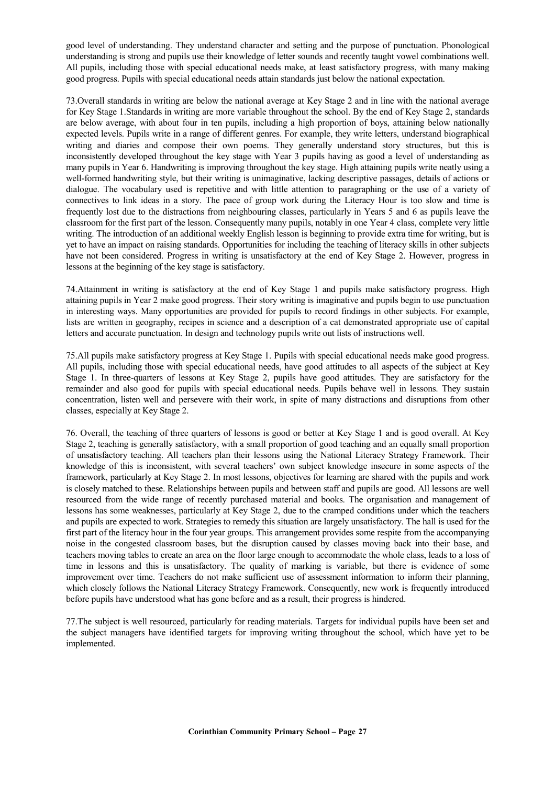good level of understanding. They understand character and setting and the purpose of punctuation. Phonological understanding is strong and pupils use their knowledge of letter sounds and recently taught vowel combinations well. All pupils, including those with special educational needs make, at least satisfactory progress, with many making good progress. Pupils with special educational needs attain standards just below the national expectation.

73.Overall standards in writing are below the national average at Key Stage 2 and in line with the national average for Key Stage 1.Standards in writing are more variable throughout the school. By the end of Key Stage 2, standards are below average, with about four in ten pupils, including a high proportion of boys, attaining below nationally expected levels. Pupils write in a range of different genres. For example, they write letters, understand biographical writing and diaries and compose their own poems. They generally understand story structures, but this is inconsistently developed throughout the key stage with Year 3 pupils having as good a level of understanding as many pupils in Year 6. Handwriting is improving throughout the key stage. High attaining pupils write neatly using a well-formed handwriting style, but their writing is unimaginative, lacking descriptive passages, details of actions or dialogue. The vocabulary used is repetitive and with little attention to paragraphing or the use of a variety of connectives to link ideas in a story. The pace of group work during the Literacy Hour is too slow and time is frequently lost due to the distractions from neighbouring classes, particularly in Years 5 and 6 as pupils leave the classroom for the first part of the lesson. Consequently many pupils, notably in one Year 4 class, complete very little writing. The introduction of an additional weekly English lesson is beginning to provide extra time for writing, but is yet to have an impact on raising standards. Opportunities for including the teaching of literacy skills in other subjects have not been considered. Progress in writing is unsatisfactory at the end of Key Stage 2. However, progress in lessons at the beginning of the key stage is satisfactory.

74.Attainment in writing is satisfactory at the end of Key Stage 1 and pupils make satisfactory progress. High attaining pupils in Year 2 make good progress. Their story writing is imaginative and pupils begin to use punctuation in interesting ways. Many opportunities are provided for pupils to record findings in other subjects. For example, lists are written in geography, recipes in science and a description of a cat demonstrated appropriate use of capital letters and accurate punctuation. In design and technology pupils write out lists of instructions well.

75.All pupils make satisfactory progress at Key Stage 1. Pupils with special educational needs make good progress. All pupils, including those with special educational needs, have good attitudes to all aspects of the subject at Key Stage 1. In three-quarters of lessons at Key Stage 2, pupils have good attitudes. They are satisfactory for the remainder and also good for pupils with special educational needs. Pupils behave well in lessons. They sustain concentration, listen well and persevere with their work, in spite of many distractions and disruptions from other classes, especially at Key Stage 2.

76. Overall, the teaching of three quarters of lessons is good or better at Key Stage 1 and is good overall. At Key Stage 2, teaching is generally satisfactory, with a small proportion of good teaching and an equally small proportion of unsatisfactory teaching. All teachers plan their lessons using the National Literacy Strategy Framework. Their knowledge of this is inconsistent, with several teachers' own subject knowledge insecure in some aspects of the framework, particularly at Key Stage 2. In most lessons, objectives for learning are shared with the pupils and work is closely matched to these. Relationships between pupils and between staff and pupils are good. All lessons are well resourced from the wide range of recently purchased material and books. The organisation and management of lessons has some weaknesses, particularly at Key Stage 2, due to the cramped conditions under which the teachers and pupils are expected to work. Strategies to remedy this situation are largely unsatisfactory. The hall is used for the first part of the literacy hour in the four year groups. This arrangement provides some respite from the accompanying noise in the congested classroom bases, but the disruption caused by classes moving back into their base, and teachers moving tables to create an area on the floor large enough to accommodate the whole class, leads to a loss of time in lessons and this is unsatisfactory. The quality of marking is variable, but there is evidence of some improvement over time. Teachers do not make sufficient use of assessment information to inform their planning, which closely follows the National Literacy Strategy Framework. Consequently, new work is frequently introduced before pupils have understood what has gone before and as a result, their progress is hindered.

77.The subject is well resourced, particularly for reading materials. Targets for individual pupils have been set and the subject managers have identified targets for improving writing throughout the school, which have yet to be implemented.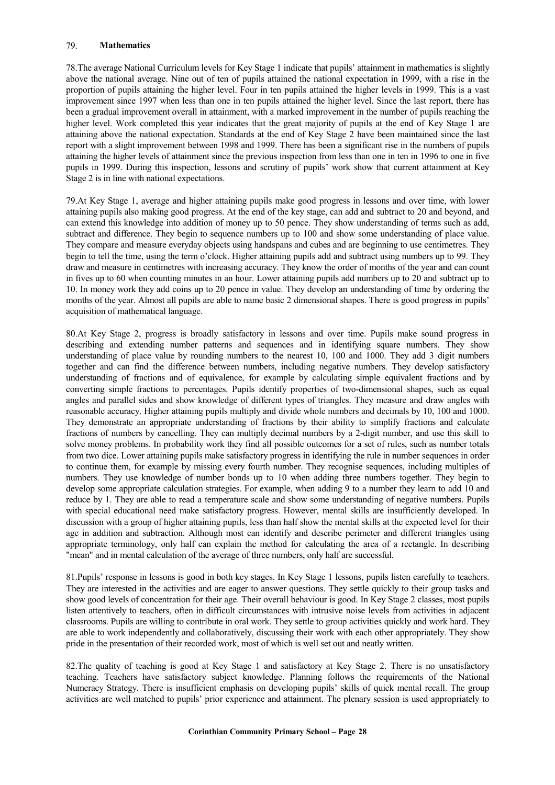# 79. **Mathematics**

78.The average National Curriculum levels for Key Stage 1 indicate that pupils' attainment in mathematics is slightly above the national average. Nine out of ten of pupils attained the national expectation in 1999, with a rise in the proportion of pupils attaining the higher level. Four in ten pupils attained the higher levels in 1999. This is a vast improvement since 1997 when less than one in ten pupils attained the higher level. Since the last report, there has been a gradual improvement overall in attainment, with a marked improvement in the number of pupils reaching the higher level. Work completed this year indicates that the great majority of pupils at the end of Key Stage 1 are attaining above the national expectation. Standards at the end of Key Stage 2 have been maintained since the last report with a slight improvement between 1998 and 1999. There has been a significant rise in the numbers of pupils attaining the higher levels of attainment since the previous inspection from less than one in ten in 1996 to one in five pupils in 1999. During this inspection, lessons and scrutiny of pupils' work show that current attainment at Key Stage 2 is in line with national expectations.

79.At Key Stage 1, average and higher attaining pupils make good progress in lessons and over time, with lower attaining pupils also making good progress. At the end of the key stage, can add and subtract to 20 and beyond, and can extend this knowledge into addition of money up to 50 pence. They show understanding of terms such as add, subtract and difference. They begin to sequence numbers up to 100 and show some understanding of place value. They compare and measure everyday objects using handspans and cubes and are beginning to use centimetres. They begin to tell the time, using the term o'clock. Higher attaining pupils add and subtract using numbers up to 99. They draw and measure in centimetres with increasing accuracy. They know the order of months of the year and can count in fives up to 60 when counting minutes in an hour. Lower attaining pupils add numbers up to 20 and subtract up to 10. In money work they add coins up to 20 pence in value. They develop an understanding of time by ordering the months of the year. Almost all pupils are able to name basic 2 dimensional shapes. There is good progress in pupils' acquisition of mathematical language.

80.At Key Stage 2, progress is broadly satisfactory in lessons and over time. Pupils make sound progress in describing and extending number patterns and sequences and in identifying square numbers. They show understanding of place value by rounding numbers to the nearest 10, 100 and 1000. They add 3 digit numbers together and can find the difference between numbers, including negative numbers. They develop satisfactory understanding of fractions and of equivalence, for example by calculating simple equivalent fractions and by converting simple fractions to percentages. Pupils identify properties of two-dimensional shapes, such as equal angles and parallel sides and show knowledge of different types of triangles. They measure and draw angles with reasonable accuracy. Higher attaining pupils multiply and divide whole numbers and decimals by 10, 100 and 1000. They demonstrate an appropriate understanding of fractions by their ability to simplify fractions and calculate fractions of numbers by cancelling. They can multiply decimal numbers by a 2-digit number, and use this skill to solve money problems. In probability work they find all possible outcomes for a set of rules, such as number totals from two dice. Lower attaining pupils make satisfactory progress in identifying the rule in number sequences in order to continue them, for example by missing every fourth number. They recognise sequences, including multiples of numbers. They use knowledge of number bonds up to 10 when adding three numbers together. They begin to develop some appropriate calculation strategies. For example, when adding 9 to a number they learn to add 10 and reduce by 1. They are able to read a temperature scale and show some understanding of negative numbers. Pupils with special educational need make satisfactory progress. However, mental skills are insufficiently developed. In discussion with a group of higher attaining pupils, less than half show the mental skills at the expected level for their age in addition and subtraction. Although most can identify and describe perimeter and different triangles using appropriate terminology, only half can explain the method for calculating the area of a rectangle. In describing "mean" and in mental calculation of the average of three numbers, only half are successful.

81.Pupils' response in lessons is good in both key stages. In Key Stage 1 lessons, pupils listen carefully to teachers. They are interested in the activities and are eager to answer questions. They settle quickly to their group tasks and show good levels of concentration for their age. Their overall behaviour is good. In Key Stage 2 classes, most pupils listen attentively to teachers, often in difficult circumstances with intrusive noise levels from activities in adjacent classrooms. Pupils are willing to contribute in oral work. They settle to group activities quickly and work hard. They are able to work independently and collaboratively, discussing their work with each other appropriately. They show pride in the presentation of their recorded work, most of which is well set out and neatly written.

82.The quality of teaching is good at Key Stage 1 and satisfactory at Key Stage 2. There is no unsatisfactory teaching. Teachers have satisfactory subject knowledge. Planning follows the requirements of the National Numeracy Strategy. There is insufficient emphasis on developing pupils' skills of quick mental recall. The group activities are well matched to pupils' prior experience and attainment. The plenary session is used appropriately to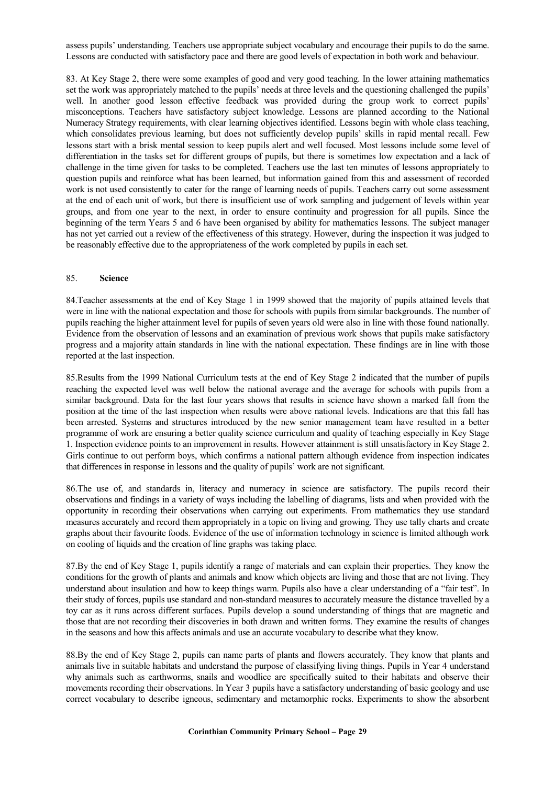assess pupils' understanding. Teachers use appropriate subject vocabulary and encourage their pupils to do the same. Lessons are conducted with satisfactory pace and there are good levels of expectation in both work and behaviour.

83. At Key Stage 2, there were some examples of good and very good teaching. In the lower attaining mathematics set the work was appropriately matched to the pupils' needs at three levels and the questioning challenged the pupils' well. In another good lesson effective feedback was provided during the group work to correct pupils' misconceptions. Teachers have satisfactory subject knowledge. Lessons are planned according to the National Numeracy Strategy requirements, with clear learning objectives identified. Lessons begin with whole class teaching, which consolidates previous learning, but does not sufficiently develop pupils' skills in rapid mental recall. Few lessons start with a brisk mental session to keep pupils alert and well focused. Most lessons include some level of differentiation in the tasks set for different groups of pupils, but there is sometimes low expectation and a lack of challenge in the time given for tasks to be completed. Teachers use the last ten minutes of lessons appropriately to question pupils and reinforce what has been learned, but information gained from this and assessment of recorded work is not used consistently to cater for the range of learning needs of pupils. Teachers carry out some assessment at the end of each unit of work, but there is insufficient use of work sampling and judgement of levels within year groups, and from one year to the next, in order to ensure continuity and progression for all pupils. Since the beginning of the term Years 5 and 6 have been organised by ability for mathematics lessons. The subject manager has not yet carried out a review of the effectiveness of this strategy. However, during the inspection it was judged to be reasonably effective due to the appropriateness of the work completed by pupils in each set.

#### 85. **Science**

84.Teacher assessments at the end of Key Stage 1 in 1999 showed that the majority of pupils attained levels that were in line with the national expectation and those for schools with pupils from similar backgrounds. The number of pupils reaching the higher attainment level for pupils of seven years old were also in line with those found nationally. Evidence from the observation of lessons and an examination of previous work shows that pupils make satisfactory progress and a majority attain standards in line with the national expectation. These findings are in line with those reported at the last inspection.

85.Results from the 1999 National Curriculum tests at the end of Key Stage 2 indicated that the number of pupils reaching the expected level was well below the national average and the average for schools with pupils from a similar background. Data for the last four years shows that results in science have shown a marked fall from the position at the time of the last inspection when results were above national levels. Indications are that this fall has been arrested. Systems and structures introduced by the new senior management team have resulted in a better programme of work are ensuring a better quality science curriculum and quality of teaching especially in Key Stage 1. Inspection evidence points to an improvement in results. However attainment is still unsatisfactory in Key Stage 2. Girls continue to out perform boys, which confirms a national pattern although evidence from inspection indicates that differences in response in lessons and the quality of pupils' work are not significant.

86.The use of, and standards in, literacy and numeracy in science are satisfactory. The pupils record their observations and findings in a variety of ways including the labelling of diagrams, lists and when provided with the opportunity in recording their observations when carrying out experiments. From mathematics they use standard measures accurately and record them appropriately in a topic on living and growing. They use tally charts and create graphs about their favourite foods. Evidence of the use of information technology in science is limited although work on cooling of liquids and the creation of line graphs was taking place.

87.By the end of Key Stage 1, pupils identify a range of materials and can explain their properties. They know the conditions for the growth of plants and animals and know which objects are living and those that are not living. They understand about insulation and how to keep things warm. Pupils also have a clear understanding of a "fair test". In their study of forces, pupils use standard and non-standard measures to accurately measure the distance travelled by a toy car as it runs across different surfaces. Pupils develop a sound understanding of things that are magnetic and those that are not recording their discoveries in both drawn and written forms. They examine the results of changes in the seasons and how this affects animals and use an accurate vocabulary to describe what they know.

88.By the end of Key Stage 2, pupils can name parts of plants and flowers accurately. They know that plants and animals live in suitable habitats and understand the purpose of classifying living things. Pupils in Year 4 understand why animals such as earthworms, snails and woodlice are specifically suited to their habitats and observe their movements recording their observations. In Year 3 pupils have a satisfactory understanding of basic geology and use correct vocabulary to describe igneous, sedimentary and metamorphic rocks. Experiments to show the absorbent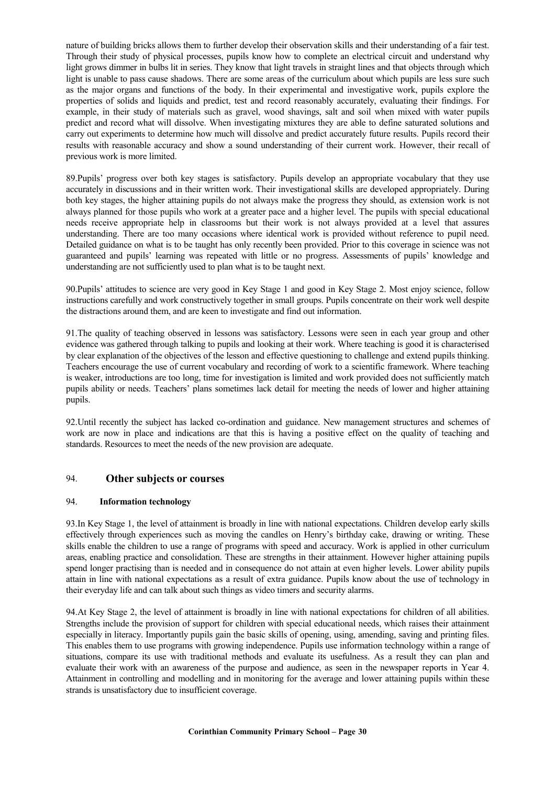nature of building bricks allows them to further develop their observation skills and their understanding of a fair test. Through their study of physical processes, pupils know how to complete an electrical circuit and understand why light grows dimmer in bulbs lit in series. They know that light travels in straight lines and that objects through which light is unable to pass cause shadows. There are some areas of the curriculum about which pupils are less sure such as the major organs and functions of the body. In their experimental and investigative work, pupils explore the properties of solids and liquids and predict, test and record reasonably accurately, evaluating their findings. For example, in their study of materials such as gravel, wood shavings, salt and soil when mixed with water pupils predict and record what will dissolve. When investigating mixtures they are able to define saturated solutions and carry out experiments to determine how much will dissolve and predict accurately future results. Pupils record their results with reasonable accuracy and show a sound understanding of their current work. However, their recall of previous work is more limited.

89.Pupils' progress over both key stages is satisfactory. Pupils develop an appropriate vocabulary that they use accurately in discussions and in their written work. Their investigational skills are developed appropriately. During both key stages, the higher attaining pupils do not always make the progress they should, as extension work is not always planned for those pupils who work at a greater pace and a higher level. The pupils with special educational needs receive appropriate help in classrooms but their work is not always provided at a level that assures understanding. There are too many occasions where identical work is provided without reference to pupil need. Detailed guidance on what is to be taught has only recently been provided. Prior to this coverage in science was not guaranteed and pupils' learning was repeated with little or no progress. Assessments of pupils' knowledge and understanding are not sufficiently used to plan what is to be taught next.

90.Pupils' attitudes to science are very good in Key Stage 1 and good in Key Stage 2. Most enjoy science, follow instructions carefully and work constructively together in small groups. Pupils concentrate on their work well despite the distractions around them, and are keen to investigate and find out information.

91.The quality of teaching observed in lessons was satisfactory. Lessons were seen in each year group and other evidence was gathered through talking to pupils and looking at their work. Where teaching is good it is characterised by clear explanation of the objectives of the lesson and effective questioning to challenge and extend pupils thinking. Teachers encourage the use of current vocabulary and recording of work to a scientific framework. Where teaching is weaker, introductions are too long, time for investigation is limited and work provided does not sufficiently match pupils ability or needs. Teachers' plans sometimes lack detail for meeting the needs of lower and higher attaining pupils.

92.Until recently the subject has lacked co-ordination and guidance. New management structures and schemes of work are now in place and indications are that this is having a positive effect on the quality of teaching and standards. Resources to meet the needs of the new provision are adequate.

# 94. **Other subjects or courses**

## 94. **Information technology**

93.In Key Stage 1, the level of attainment is broadly in line with national expectations. Children develop early skills effectively through experiences such as moving the candles on Henry's birthday cake, drawing or writing. These skills enable the children to use a range of programs with speed and accuracy. Work is applied in other curriculum areas, enabling practice and consolidation. These are strengths in their attainment. However higher attaining pupils spend longer practising than is needed and in consequence do not attain at even higher levels. Lower ability pupils attain in line with national expectations as a result of extra guidance. Pupils know about the use of technology in their everyday life and can talk about such things as video timers and security alarms.

94.At Key Stage 2, the level of attainment is broadly in line with national expectations for children of all abilities. Strengths include the provision of support for children with special educational needs, which raises their attainment especially in literacy. Importantly pupils gain the basic skills of opening, using, amending, saving and printing files. This enables them to use programs with growing independence. Pupils use information technology within a range of situations, compare its use with traditional methods and evaluate its usefulness. As a result they can plan and evaluate their work with an awareness of the purpose and audience, as seen in the newspaper reports in Year 4. Attainment in controlling and modelling and in monitoring for the average and lower attaining pupils within these strands is unsatisfactory due to insufficient coverage.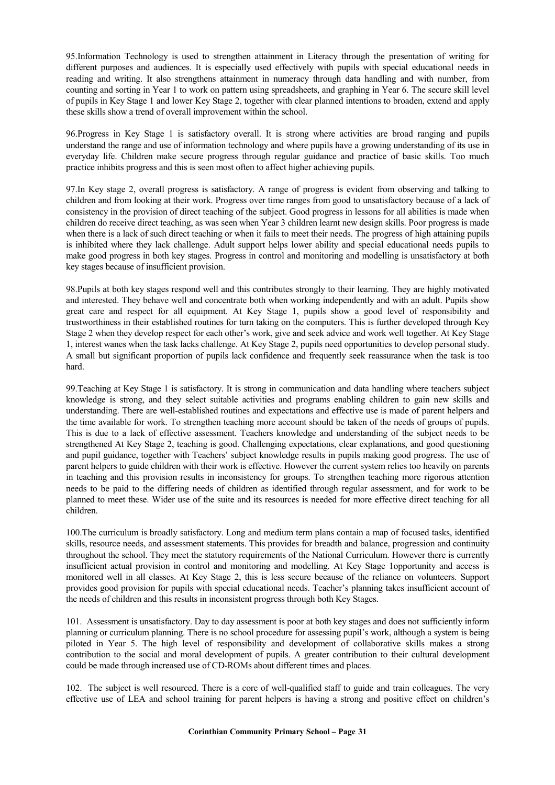95.Information Technology is used to strengthen attainment in Literacy through the presentation of writing for different purposes and audiences. It is especially used effectively with pupils with special educational needs in reading and writing. It also strengthens attainment in numeracy through data handling and with number, from counting and sorting in Year 1 to work on pattern using spreadsheets, and graphing in Year 6. The secure skill level of pupils in Key Stage 1 and lower Key Stage 2, together with clear planned intentions to broaden, extend and apply these skills show a trend of overall improvement within the school.

96.Progress in Key Stage 1 is satisfactory overall. It is strong where activities are broad ranging and pupils understand the range and use of information technology and where pupils have a growing understanding of its use in everyday life. Children make secure progress through regular guidance and practice of basic skills. Too much practice inhibits progress and this is seen most often to affect higher achieving pupils.

97.In Key stage 2, overall progress is satisfactory. A range of progress is evident from observing and talking to children and from looking at their work. Progress over time ranges from good to unsatisfactory because of a lack of consistency in the provision of direct teaching of the subject. Good progress in lessons for all abilities is made when children do receive direct teaching, as was seen when Year 3 children learnt new design skills. Poor progress is made when there is a lack of such direct teaching or when it fails to meet their needs. The progress of high attaining pupils is inhibited where they lack challenge. Adult support helps lower ability and special educational needs pupils to make good progress in both key stages. Progress in control and monitoring and modelling is unsatisfactory at both key stages because of insufficient provision.

98.Pupils at both key stages respond well and this contributes strongly to their learning. They are highly motivated and interested. They behave well and concentrate both when working independently and with an adult. Pupils show great care and respect for all equipment. At Key Stage 1, pupils show a good level of responsibility and trustworthiness in their established routines for turn taking on the computers. This is further developed through Key Stage 2 when they develop respect for each other's work, give and seek advice and work well together. At Key Stage 1, interest wanes when the task lacks challenge. At Key Stage 2, pupils need opportunities to develop personal study. A small but significant proportion of pupils lack confidence and frequently seek reassurance when the task is too hard.

99.Teaching at Key Stage 1 is satisfactory. It is strong in communication and data handling where teachers subject knowledge is strong, and they select suitable activities and programs enabling children to gain new skills and understanding. There are well-established routines and expectations and effective use is made of parent helpers and the time available for work. To strengthen teaching more account should be taken of the needs of groups of pupils. This is due to a lack of effective assessment. Teachers knowledge and understanding of the subject needs to be strengthened At Key Stage 2, teaching is good. Challenging expectations, clear explanations, and good questioning and pupil guidance, together with Teachers' subject knowledge results in pupils making good progress. The use of parent helpers to guide children with their work is effective. However the current system relies too heavily on parents in teaching and this provision results in inconsistency for groups. To strengthen teaching more rigorous attention needs to be paid to the differing needs of children as identified through regular assessment, and for work to be planned to meet these. Wider use of the suite and its resources is needed for more effective direct teaching for all children.

100.The curriculum is broadly satisfactory. Long and medium term plans contain a map of focused tasks, identified skills, resource needs, and assessment statements. This provides for breadth and balance, progression and continuity throughout the school. They meet the statutory requirements of the National Curriculum. However there is currently insufficient actual provision in control and monitoring and modelling. At Key Stage 1opportunity and access is monitored well in all classes. At Key Stage 2, this is less secure because of the reliance on volunteers. Support provides good provision for pupils with special educational needs. Teacher's planning takes insufficient account of the needs of children and this results in inconsistent progress through both Key Stages.

101. Assessment is unsatisfactory. Day to day assessment is poor at both key stages and does not sufficiently inform planning or curriculum planning. There is no school procedure for assessing pupil's work, although a system is being piloted in Year 5. The high level of responsibility and development of collaborative skills makes a strong contribution to the social and moral development of pupils. A greater contribution to their cultural development could be made through increased use of CD-ROMs about different times and places.

102. The subject is well resourced. There is a core of well-qualified staff to guide and train colleagues. The very effective use of LEA and school training for parent helpers is having a strong and positive effect on children's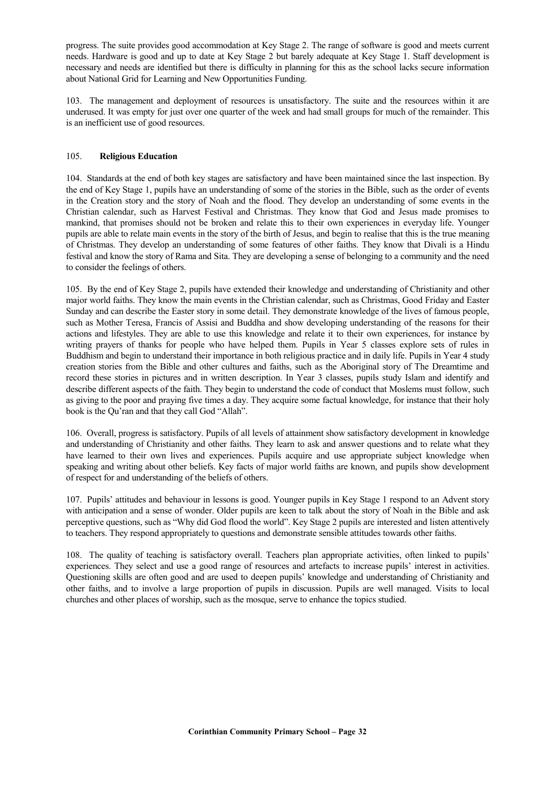progress. The suite provides good accommodation at Key Stage 2. The range of software is good and meets current needs. Hardware is good and up to date at Key Stage 2 but barely adequate at Key Stage 1. Staff development is necessary and needs are identified but there is difficulty in planning for this as the school lacks secure information about National Grid for Learning and New Opportunities Funding.

103. The management and deployment of resources is unsatisfactory. The suite and the resources within it are underused. It was empty for just over one quarter of the week and had small groups for much of the remainder. This is an inefficient use of good resources.

# 105. **Religious Education**

104. Standards at the end of both key stages are satisfactory and have been maintained since the last inspection. By the end of Key Stage 1, pupils have an understanding of some of the stories in the Bible, such as the order of events in the Creation story and the story of Noah and the flood. They develop an understanding of some events in the Christian calendar, such as Harvest Festival and Christmas. They know that God and Jesus made promises to mankind, that promises should not be broken and relate this to their own experiences in everyday life. Younger pupils are able to relate main events in the story of the birth of Jesus, and begin to realise that this is the true meaning of Christmas. They develop an understanding of some features of other faiths. They know that Divali is a Hindu festival and know the story of Rama and Sita. They are developing a sense of belonging to a community and the need to consider the feelings of others.

105. By the end of Key Stage 2, pupils have extended their knowledge and understanding of Christianity and other major world faiths. They know the main events in the Christian calendar, such as Christmas, Good Friday and Easter Sunday and can describe the Easter story in some detail. They demonstrate knowledge of the lives of famous people, such as Mother Teresa, Francis of Assisi and Buddha and show developing understanding of the reasons for their actions and lifestyles. They are able to use this knowledge and relate it to their own experiences, for instance by writing prayers of thanks for people who have helped them. Pupils in Year 5 classes explore sets of rules in Buddhism and begin to understand their importance in both religious practice and in daily life. Pupils in Year 4 study creation stories from the Bible and other cultures and faiths, such as the Aboriginal story of The Dreamtime and record these stories in pictures and in written description. In Year 3 classes, pupils study Islam and identify and describe different aspects of the faith. They begin to understand the code of conduct that Moslems must follow, such as giving to the poor and praying five times a day. They acquire some factual knowledge, for instance that their holy book is the Qu'ran and that they call God "Allah".

106. Overall, progress is satisfactory. Pupils of all levels of attainment show satisfactory development in knowledge and understanding of Christianity and other faiths. They learn to ask and answer questions and to relate what they have learned to their own lives and experiences. Pupils acquire and use appropriate subject knowledge when speaking and writing about other beliefs. Key facts of major world faiths are known, and pupils show development of respect for and understanding of the beliefs of others.

107. Pupils' attitudes and behaviour in lessons is good. Younger pupils in Key Stage 1 respond to an Advent story with anticipation and a sense of wonder. Older pupils are keen to talk about the story of Noah in the Bible and ask perceptive questions, such as "Why did God flood the world". Key Stage 2 pupils are interested and listen attentively to teachers. They respond appropriately to questions and demonstrate sensible attitudes towards other faiths.

108. The quality of teaching is satisfactory overall. Teachers plan appropriate activities, often linked to pupils' experiences. They select and use a good range of resources and artefacts to increase pupils' interest in activities. Questioning skills are often good and are used to deepen pupils' knowledge and understanding of Christianity and other faiths, and to involve a large proportion of pupils in discussion. Pupils are well managed. Visits to local churches and other places of worship, such as the mosque, serve to enhance the topics studied.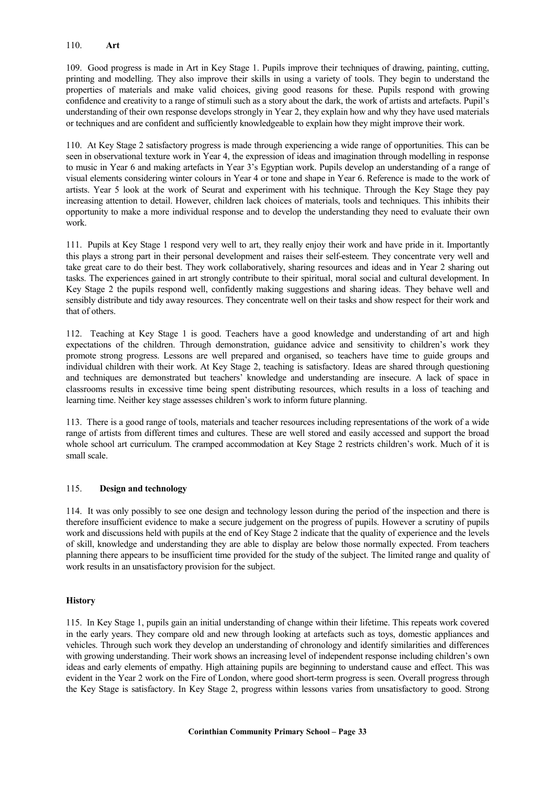#### 110. **Art**

109. Good progress is made in Art in Key Stage 1. Pupils improve their techniques of drawing, painting, cutting, printing and modelling. They also improve their skills in using a variety of tools. They begin to understand the properties of materials and make valid choices, giving good reasons for these. Pupils respond with growing confidence and creativity to a range of stimuli such as a story about the dark, the work of artists and artefacts. Pupil's understanding of their own response develops strongly in Year 2, they explain how and why they have used materials or techniques and are confident and sufficiently knowledgeable to explain how they might improve their work.

110. At Key Stage 2 satisfactory progress is made through experiencing a wide range of opportunities. This can be seen in observational texture work in Year 4, the expression of ideas and imagination through modelling in response to music in Year 6 and making artefacts in Year 3's Egyptian work. Pupils develop an understanding of a range of visual elements considering winter colours in Year 4 or tone and shape in Year 6. Reference is made to the work of artists. Year 5 look at the work of Seurat and experiment with his technique. Through the Key Stage they pay increasing attention to detail. However, children lack choices of materials, tools and techniques. This inhibits their opportunity to make a more individual response and to develop the understanding they need to evaluate their own work.

111. Pupils at Key Stage 1 respond very well to art, they really enjoy their work and have pride in it. Importantly this plays a strong part in their personal development and raises their self-esteem. They concentrate very well and take great care to do their best. They work collaboratively, sharing resources and ideas and in Year 2 sharing out tasks. The experiences gained in art strongly contribute to their spiritual, moral social and cultural development. In Key Stage 2 the pupils respond well, confidently making suggestions and sharing ideas. They behave well and sensibly distribute and tidy away resources. They concentrate well on their tasks and show respect for their work and that of others.

112. Teaching at Key Stage 1 is good. Teachers have a good knowledge and understanding of art and high expectations of the children. Through demonstration, guidance advice and sensitivity to children's work they promote strong progress. Lessons are well prepared and organised, so teachers have time to guide groups and individual children with their work. At Key Stage 2, teaching is satisfactory. Ideas are shared through questioning and techniques are demonstrated but teachers' knowledge and understanding are insecure. A lack of space in classrooms results in excessive time being spent distributing resources, which results in a loss of teaching and learning time. Neither key stage assesses children's work to inform future planning.

113. There is a good range of tools, materials and teacher resources including representations of the work of a wide range of artists from different times and cultures. These are well stored and easily accessed and support the broad whole school art curriculum. The cramped accommodation at Key Stage 2 restricts children's work. Much of it is small scale.

## 115. **Design and technology**

114. It was only possibly to see one design and technology lesson during the period of the inspection and there is therefore insufficient evidence to make a secure judgement on the progress of pupils. However a scrutiny of pupils work and discussions held with pupils at the end of Key Stage 2 indicate that the quality of experience and the levels of skill, knowledge and understanding they are able to display are below those normally expected. From teachers planning there appears to be insufficient time provided for the study of the subject. The limited range and quality of work results in an unsatisfactory provision for the subject.

## **History**

115. In Key Stage 1, pupils gain an initial understanding of change within their lifetime. This repeats work covered in the early years. They compare old and new through looking at artefacts such as toys, domestic appliances and vehicles. Through such work they develop an understanding of chronology and identify similarities and differences with growing understanding. Their work shows an increasing level of independent response including children's own ideas and early elements of empathy. High attaining pupils are beginning to understand cause and effect. This was evident in the Year 2 work on the Fire of London, where good short-term progress is seen. Overall progress through the Key Stage is satisfactory. In Key Stage 2, progress within lessons varies from unsatisfactory to good. Strong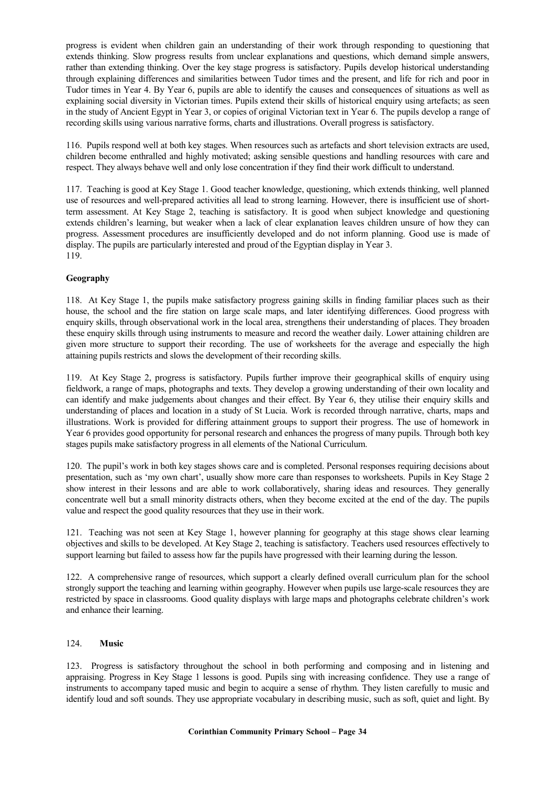progress is evident when children gain an understanding of their work through responding to questioning that extends thinking. Slow progress results from unclear explanations and questions, which demand simple answers, rather than extending thinking. Over the key stage progress is satisfactory. Pupils develop historical understanding through explaining differences and similarities between Tudor times and the present, and life for rich and poor in Tudor times in Year 4. By Year 6, pupils are able to identify the causes and consequences of situations as well as explaining social diversity in Victorian times. Pupils extend their skills of historical enquiry using artefacts; as seen in the study of Ancient Egypt in Year 3, or copies of original Victorian text in Year 6. The pupils develop a range of recording skills using various narrative forms, charts and illustrations. Overall progress is satisfactory.

116. Pupils respond well at both key stages. When resources such as artefacts and short television extracts are used, children become enthralled and highly motivated; asking sensible questions and handling resources with care and respect. They always behave well and only lose concentration if they find their work difficult to understand.

117. Teaching is good at Key Stage 1. Good teacher knowledge, questioning, which extends thinking, well planned use of resources and well-prepared activities all lead to strong learning. However, there is insufficient use of shortterm assessment. At Key Stage 2, teaching is satisfactory. It is good when subject knowledge and questioning extends children's learning, but weaker when a lack of clear explanation leaves children unsure of how they can progress. Assessment procedures are insufficiently developed and do not inform planning. Good use is made of display. The pupils are particularly interested and proud of the Egyptian display in Year 3. 119.

# **Geography**

118. At Key Stage 1, the pupils make satisfactory progress gaining skills in finding familiar places such as their house, the school and the fire station on large scale maps, and later identifying differences. Good progress with enquiry skills, through observational work in the local area, strengthens their understanding of places. They broaden these enquiry skills through using instruments to measure and record the weather daily. Lower attaining children are given more structure to support their recording. The use of worksheets for the average and especially the high attaining pupils restricts and slows the development of their recording skills.

119. At Key Stage 2, progress is satisfactory. Pupils further improve their geographical skills of enquiry using fieldwork, a range of maps, photographs and texts. They develop a growing understanding of their own locality and can identify and make judgements about changes and their effect. By Year 6, they utilise their enquiry skills and understanding of places and location in a study of St Lucia. Work is recorded through narrative, charts, maps and illustrations. Work is provided for differing attainment groups to support their progress. The use of homework in Year 6 provides good opportunity for personal research and enhances the progress of many pupils. Through both key stages pupils make satisfactory progress in all elements of the National Curriculum.

120. The pupil's work in both key stages shows care and is completed. Personal responses requiring decisions about presentation, such as 'my own chart', usually show more care than responses to worksheets. Pupils in Key Stage 2 show interest in their lessons and are able to work collaboratively, sharing ideas and resources. They generally concentrate well but a small minority distracts others, when they become excited at the end of the day. The pupils value and respect the good quality resources that they use in their work.

121. Teaching was not seen at Key Stage 1, however planning for geography at this stage shows clear learning objectives and skills to be developed. At Key Stage 2, teaching is satisfactory. Teachers used resources effectively to support learning but failed to assess how far the pupils have progressed with their learning during the lesson.

122. A comprehensive range of resources, which support a clearly defined overall curriculum plan for the school strongly support the teaching and learning within geography. However when pupils use large-scale resources they are restricted by space in classrooms. Good quality displays with large maps and photographs celebrate children's work and enhance their learning.

## 124. **Music**

123. Progress is satisfactory throughout the school in both performing and composing and in listening and appraising. Progress in Key Stage 1 lessons is good. Pupils sing with increasing confidence. They use a range of instruments to accompany taped music and begin to acquire a sense of rhythm. They listen carefully to music and identify loud and soft sounds. They use appropriate vocabulary in describing music, such as soft, quiet and light. By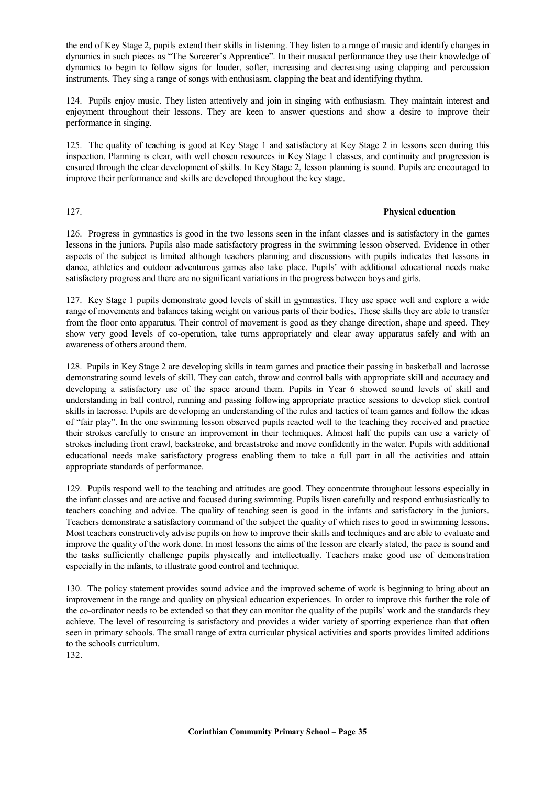the end of Key Stage 2, pupils extend their skills in listening. They listen to a range of music and identify changes in dynamics in such pieces as "The Sorcerer's Apprentice". In their musical performance they use their knowledge of dynamics to begin to follow signs for louder, softer, increasing and decreasing using clapping and percussion instruments. They sing a range of songs with enthusiasm, clapping the beat and identifying rhythm.

124. Pupils enjoy music. They listen attentively and join in singing with enthusiasm. They maintain interest and enjoyment throughout their lessons. They are keen to answer questions and show a desire to improve their performance in singing.

125. The quality of teaching is good at Key Stage 1 and satisfactory at Key Stage 2 in lessons seen during this inspection. Planning is clear, with well chosen resources in Key Stage 1 classes, and continuity and progression is ensured through the clear development of skills. In Key Stage 2, lesson planning is sound. Pupils are encouraged to improve their performance and skills are developed throughout the key stage.

# 127. **Physical education**

126. Progress in gymnastics is good in the two lessons seen in the infant classes and is satisfactory in the games lessons in the juniors. Pupils also made satisfactory progress in the swimming lesson observed. Evidence in other aspects of the subject is limited although teachers planning and discussions with pupils indicates that lessons in dance, athletics and outdoor adventurous games also take place. Pupils' with additional educational needs make satisfactory progress and there are no significant variations in the progress between boys and girls.

127. Key Stage 1 pupils demonstrate good levels of skill in gymnastics. They use space well and explore a wide range of movements and balances taking weight on various parts of their bodies. These skills they are able to transfer from the floor onto apparatus. Their control of movement is good as they change direction, shape and speed. They show very good levels of co-operation, take turns appropriately and clear away apparatus safely and with an awareness of others around them.

128. Pupils in Key Stage 2 are developing skills in team games and practice their passing in basketball and lacrosse demonstrating sound levels of skill. They can catch, throw and control balls with appropriate skill and accuracy and developing a satisfactory use of the space around them. Pupils in Year 6 showed sound levels of skill and understanding in ball control, running and passing following appropriate practice sessions to develop stick control skills in lacrosse. Pupils are developing an understanding of the rules and tactics of team games and follow the ideas of "fair play". In the one swimming lesson observed pupils reacted well to the teaching they received and practice their strokes carefully to ensure an improvement in their techniques. Almost half the pupils can use a variety of strokes including front crawl, backstroke, and breaststroke and move confidently in the water. Pupils with additional educational needs make satisfactory progress enabling them to take a full part in all the activities and attain appropriate standards of performance.

129. Pupils respond well to the teaching and attitudes are good. They concentrate throughout lessons especially in the infant classes and are active and focused during swimming. Pupils listen carefully and respond enthusiastically to teachers coaching and advice. The quality of teaching seen is good in the infants and satisfactory in the juniors. Teachers demonstrate a satisfactory command of the subject the quality of which rises to good in swimming lessons. Most teachers constructively advise pupils on how to improve their skills and techniques and are able to evaluate and improve the quality of the work done. In most lessons the aims of the lesson are clearly stated, the pace is sound and the tasks sufficiently challenge pupils physically and intellectually. Teachers make good use of demonstration especially in the infants, to illustrate good control and technique.

130. The policy statement provides sound advice and the improved scheme of work is beginning to bring about an improvement in the range and quality on physical education experiences. In order to improve this further the role of the co-ordinator needs to be extended so that they can monitor the quality of the pupils' work and the standards they achieve. The level of resourcing is satisfactory and provides a wider variety of sporting experience than that often seen in primary schools. The small range of extra curricular physical activities and sports provides limited additions to the schools curriculum.

132.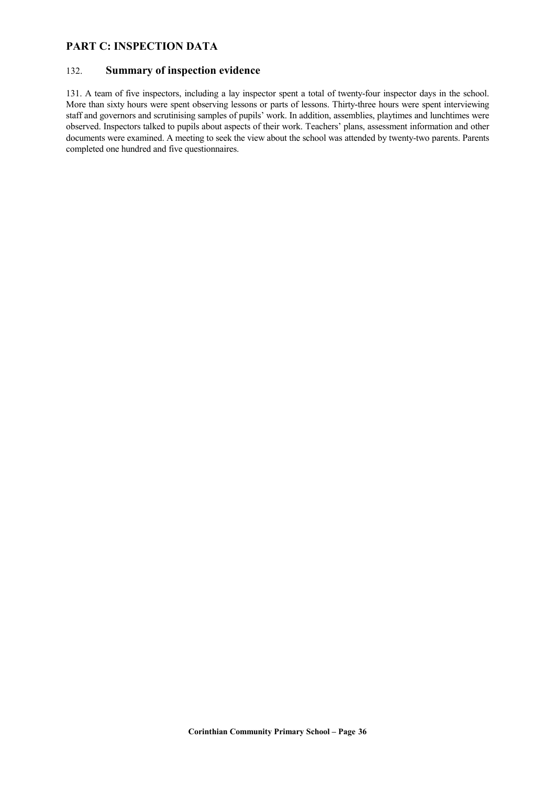# **PART C: INSPECTION DATA**

# 132. **Summary of inspection evidence**

131. A team of five inspectors, including a lay inspector spent a total of twenty-four inspector days in the school. More than sixty hours were spent observing lessons or parts of lessons. Thirty-three hours were spent interviewing staff and governors and scrutinising samples of pupils' work. In addition, assemblies, playtimes and lunchtimes were observed. Inspectors talked to pupils about aspects of their work. Teachers' plans, assessment information and other documents were examined. A meeting to seek the view about the school was attended by twenty-two parents. Parents completed one hundred and five questionnaires.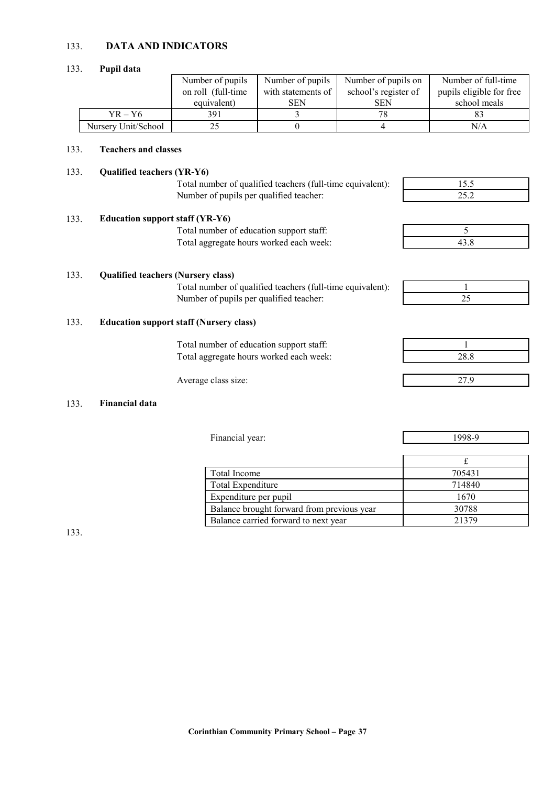# 133. **DATA AND INDICATORS**

#### 133. **Pupil data**

|                     | Number of pupils    | Number of pupils   | Number of pupils on  | Number of full-time      |
|---------------------|---------------------|--------------------|----------------------|--------------------------|
|                     | on roll (full-time) | with statements of | school's register of | pupils eligible for free |
|                     | equivalent)         | <b>SEN</b>         | <b>SEN</b>           | school meals             |
| $YR - Y6$           | 391                 |                    | 78                   |                          |
| Nursery Unit/School | 22                  |                    |                      | N/A                      |

# 133. **Teachers and classes**

# 133. **Qualified teachers (YR-Y6)**

Total number of qualified teachers (full-time equivalent):<br>Number of pupils per qualified teacher: Number of pupils per qualified teacher:

| 55  |  |
|-----|--|
|     |  |
| つくつ |  |

| 133. | <b>Education support staff (YR-Y6)</b>   |  |
|------|------------------------------------------|--|
|      | Total number of education support staff: |  |
|      | Total aggregate hours worked each week:  |  |

| - |  |
|---|--|

## 133. **Qualified teachers (Nursery class)**

Total number of qualified teachers (full-time equivalent):<br>Number of pupils per qualified teacher: Number of pupils per qualified teacher:

# 133. **Education support staff (Nursery class)**

Total number of education support staff: 1 Total aggregate hours worked each week: 28.8

Average class size: 27.9

# 133. **Financial data**

| Total Income                               | 705431 |
|--------------------------------------------|--------|
| Total Expenditure                          | 714840 |
| Expenditure per pupil                      | 1670   |
| Balance brought forward from previous year | 30788  |
| Balance carried forward to next year       | 21379  |

Financial year: 1998-9

133.